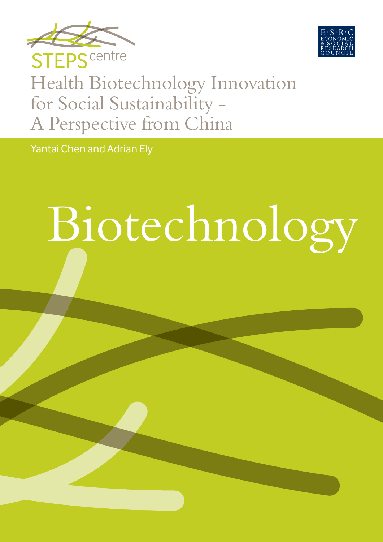



# Health Biotechnology Innovation for Social Sustainability - A Perspective from China

Yantai Chen and Adrian Ely

# Biotechnology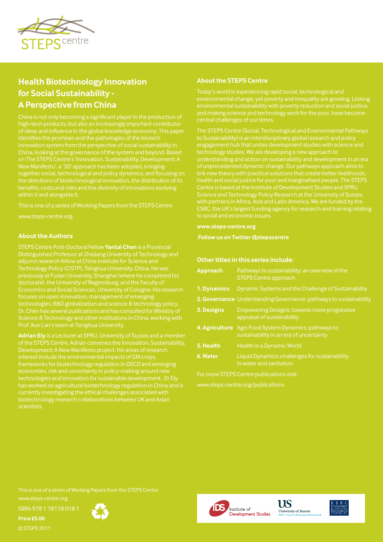

# **Health Biotechnology Innovation for Social Sustainability - A Perspective from China**

high-tech products, but also an increasingly important contributor of ideas and influence in the global knowledge economy. This paper identifies the promises and the pathologies of the biotech New Manifesto', a '3D' approach has been adopted, bringing together social, technological and policy dynamics, and focusing on benefits, costs and risks and the diversity of innovations evolving within it and alongside it.

This is one of a series of Working Papers from the STEPS Centre

www.steps-centre.org.

#### **About the Authors**

STEPS Centre Post-Doctoral Fellow **Yantai Chen** is a Provincial Technology Policy (CISTP), Tsinghua University, China. He was doctorate), the University of Regensburg, and the Faculty of focuses on open innovation, management of emerging technologies, R&D globalization and science & technology policy. Science & Technology and other institutions in China, working with

**Adrian Ely** is a Lecturer at SPRU, University of Sussex and a member of the STEPS Centre. Adrian convenes the Innovation, Sustainability, frameworks for biotechnology regulation in OECD and emerging technologies and innovation for sustainable development. Dr Ely has worked on agricultural biotechnology regulation in China and is currently investigating the ethical challenges associated with biotechnology research collaborations between UK and Asian scientists.

#### **About the STEPS Centre**

environmental change, yet poverty and inequality are growing. Linking and making science and technology work for the poor, have become

to Sustainability) is an interdisciplinary global research and policy engagement hub that unites development studies with science and technology studies. We are developing a new approach to Centre is based at the Institute of Development Studies and SPRU Science and Technology Policy Research at the University of Sussex, ESRC, the UK's largest funding agency for research and training relating to social and economic issues.

#### **www.steps-centre.org**

 **Follow us on Twitter @stepscentre**

#### **Other titles in this series include:**

| <b>Approach</b>                           | Pathways to sustainability: an overview of the<br><b>STEPS Centre approach</b>                   |  |  |  |  |
|-------------------------------------------|--------------------------------------------------------------------------------------------------|--|--|--|--|
| 1. Dynamics                               | Dynamic Systems and the Challenge of Sustainability                                              |  |  |  |  |
|                                           | 2. Governance Understanding Governance: pathways to sustainability                               |  |  |  |  |
| 3. Designs                                | Empowering Designs: towards more progressive<br>appraisal of sustainability                      |  |  |  |  |
|                                           | 4. Agriculture Agri-Food System Dynamics: pathways to<br>sustainability in an era of uncertainty |  |  |  |  |
| 5. Health                                 | <b>Health in a Dynamic World</b>                                                                 |  |  |  |  |
| 6. Water                                  | Liquid Dynamics: challenges for sustainability<br>in water and sanitation                        |  |  |  |  |
| For more STEPS Centre publications visit: |                                                                                                  |  |  |  |  |
| www.steps-centre.org/publications         |                                                                                                  |  |  |  |  |

This is one of a series of Working Papers from the STEPS Centre

www.steps-centre.org.

ISBN-978 1 78118 018 1

**Price £5.00** © STEPS 2011







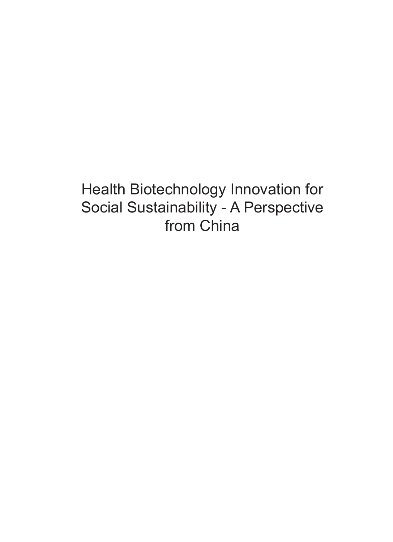Health Biotechnology Innovation for Social Sustainability - A Perspective from China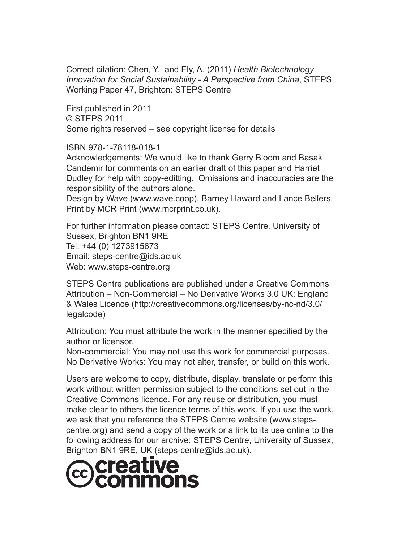Correct citation: Chen, Y. and Ely, A. (2011) *Health Biotechnology Innovation for Social Sustainability - A Perspective from China*, STEPS Working Paper 47, Brighton: STEPS Centre

First published in 2011 © STEPS 2011 Some rights reserved – see copyright license for details

ISBN 978-1-78118-018-1

Acknowledgements: We would like to thank Gerry Bloom and Basak Candemir for comments on an earlier draft of this paper and Harriet Dudley for help with copy-editting. Omissions and inaccuracies are the responsibility of the authors alone.

Design by Wave (www.wave.coop), Barney Haward and Lance Bellers. Print by MCR Print (www.mcrprint.co.uk).

For further information please contact: STEPS Centre, University of Sussex, Brighton BN1 9RE Tel: +44 (0) 1273915673 Email: steps-centre@ids.ac.uk Web: www.steps-centre.org

STEPS Centre publications are published under a Creative Commons Attribution – Non-Commercial – No Derivative Works 3.0 UK: England & Wales Licence (http://creativecommons.org/licenses/by-nc-nd/3.0/ legalcode)

Attribution: You must attribute the work in the manner specified by the author or licensor.

Non-commercial: You may not use this work for commercial purposes. No Derivative Works: You may not alter, transfer, or build on this work.

Users are welcome to copy, distribute, display, translate or perform this work without written permission subject to the conditions set out in the Creative Commons licence. For any reuse or distribution, you must make clear to others the licence terms of this work. If you use the work, we ask that you reference the STEPS Centre website (www.stepscentre.org) and send a copy of the work or a link to its use online to the following address for our archive: STEPS Centre, University of Sussex, Brighton BN1 9RE, UK (steps-centre@ids.ac.uk).

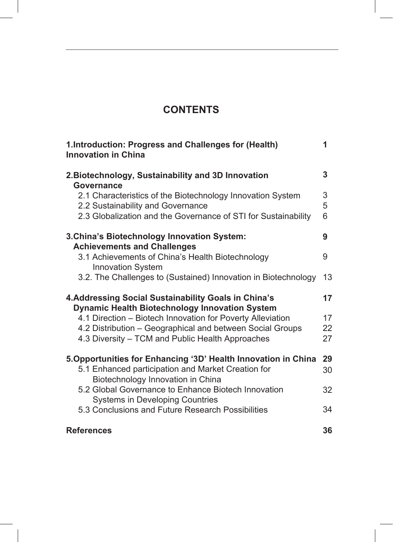# **CONTENTS**

| 1.Introduction: Progress and Challenges for (Health)<br><b>Innovation in China</b>                                                                                | 1           |
|-------------------------------------------------------------------------------------------------------------------------------------------------------------------|-------------|
| 2. Biotechnology, Sustainability and 3D Innovation<br>Governance                                                                                                  | 3           |
| 2.1 Characteristics of the Biotechnology Innovation System<br>2.2 Sustainability and Governance<br>2.3 Globalization and the Governance of STI for Sustainability | 3<br>5<br>6 |
| 3. China's Biotechnology Innovation System:                                                                                                                       | 9           |
| <b>Achievements and Challenges</b><br>3.1 Achievements of China's Health Biotechnology<br><b>Innovation System</b>                                                | 9           |
| 3.2. The Challenges to (Sustained) Innovation in Biotechnology                                                                                                    | 13          |
| 4. Addressing Social Sustainability Goals in China's<br><b>Dynamic Health Biotechnology Innovation System</b>                                                     | 17          |
| 4.1 Direction - Biotech Innovation for Poverty Alleviation                                                                                                        | 17          |
| 4.2 Distribution - Geographical and between Social Groups                                                                                                         | 22          |
| 4.3 Diversity - TCM and Public Health Approaches                                                                                                                  | 27          |
| 5. Opportunities for Enhancing '3D' Health Innovation in China                                                                                                    | 29          |
| 5.1 Enhanced participation and Market Creation for<br>Biotechnology Innovation in China                                                                           | 30          |
| 5.2 Global Governance to Enhance Biotech Innovation<br><b>Systems in Developing Countries</b>                                                                     | 32          |
| 5.3 Conclusions and Future Research Possibilities                                                                                                                 | 34          |
| <b>References</b>                                                                                                                                                 | 36          |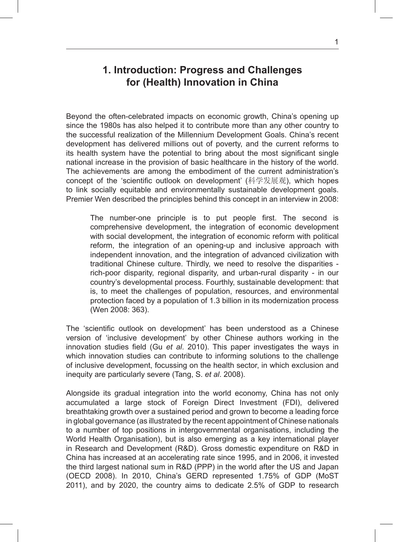# **1. Introduction: Progress and Challenges for (Health) Innovation in China**

Beyond the often-celebrated impacts on economic growth, China's opening up since the 1980s has also helped it to contribute more than any other country to the successful realization of the Millennium Development Goals. China's recent development has delivered millions out of poverty, and the current reforms to its health system have the potential to bring about the most significant single national increase in the provision of basic healthcare in the history of the world. The achievements are among the embodiment of the current administration's concept of the 'scientific outlook on development' (科学发展观), which hopes to link socially equitable and environmentally sustainable development goals. Premier Wen described the principles behind this concept in an interview in 2008:

The number-one principle is to put people first. The second is comprehensive development, the integration of economic development with social development, the integration of economic reform with political reform, the integration of an opening-up and inclusive approach with independent innovation, and the integration of advanced civilization with traditional Chinese culture. Thirdly, we need to resolve the disparities rich-poor disparity, regional disparity, and urban-rural disparity - in our country's developmental process. Fourthly, sustainable development: that is, to meet the challenges of population, resources, and environmental protection faced by a population of 1.3 billion in its modernization process (Wen 2008: 363).

The 'scientific outlook on development' has been understood as a Chinese version of 'inclusive development' by other Chinese authors working in the innovation studies field (Gu *et al*. 2010). This paper investigates the ways in which innovation studies can contribute to informing solutions to the challenge of inclusive development, focussing on the health sector, in which exclusion and inequity are particularly severe (Tang, S. *et al*. 2008).

Alongside its gradual integration into the world economy, China has not only accumulated a large stock of Foreign Direct Investment (FDI), delivered breathtaking growth over a sustained period and grown to become a leading force in global governance (as illustrated by the recent appointment of Chinese nationals to a number of top positions in intergovernmental organisations, including the World Health Organisation), but is also emerging as a key international player in Research and Development (R&D). Gross domestic expenditure on R&D in China has increased at an accelerating rate since 1995, and in 2006, it invested the third largest national sum in R&D (PPP) in the world after the US and Japan (OECD 2008). In 2010, China's GERD represented 1.75% of GDP (MoST 2011), and by 2020, the country aims to dedicate 2.5% of GDP to research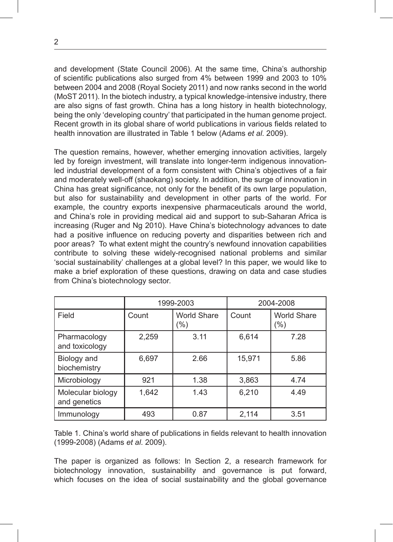and development (State Council 2006). At the same time, China's authorship of scientific publications also surged from 4% between 1999 and 2003 to 10% between 2004 and 2008 (Royal Society 2011) and now ranks second in the world (MoST 2011). In the biotech industry, a typical knowledge-intensive industry, there are also signs of fast growth. China has a long history in health biotechnology, being the only 'developing country' that participated in the human genome project. Recent growth in its global share of world publications in various fields related to health innovation are illustrated in Table 1 below (Adams *et al*. 2009).

The question remains, however, whether emerging innovation activities, largely led by foreign investment, will translate into longer-term indigenous innovationled industrial development of a form consistent with China's objectives of a fair and moderately well-off (shaokang) society. In addition, the surge of innovation in China has great significance, not only for the benefit of its own large population, but also for sustainability and development in other parts of the world. For example, the country exports inexpensive pharmaceuticals around the world, and China's role in providing medical aid and support to sub-Saharan Africa is increasing (Ruger and Ng 2010). Have China's biotechnology advances to date had a positive influence on reducing poverty and disparities between rich and poor areas? To what extent might the country's newfound innovation capabilities contribute to solving these widely-recognised national problems and similar 'social sustainability' challenges at a global level? In this paper, we would like to make a brief exploration of these questions, drawing on data and case studies from China's biotechnology sector.

|                                   |       | 1999-2003                    | 2004-2008 |                               |  |
|-----------------------------------|-------|------------------------------|-----------|-------------------------------|--|
| Field                             | Count | <b>World Share</b><br>$(\%)$ | Count     | <b>World Share</b><br>$(\% )$ |  |
| Pharmacology<br>and toxicology    | 2,259 | 3.11                         | 6,614     | 7.28                          |  |
| Biology and<br>biochemistry       | 6,697 | 2.66                         | 15,971    | 5.86                          |  |
| Microbiology                      | 921   | 1.38                         | 3,863     | 4.74                          |  |
| Molecular biology<br>and genetics | 1,642 | 1.43                         | 6,210     | 4.49                          |  |
| Immunology                        | 493   | 0.87                         | 2,114     | 3.51                          |  |

Table 1. China's world share of publications in fields relevant to health innovation (1999-2008) (Adams *et al*. 2009).

The paper is organized as follows: In Section 2, a research framework for biotechnology innovation, sustainability and governance is put forward, which focuses on the idea of social sustainability and the global governance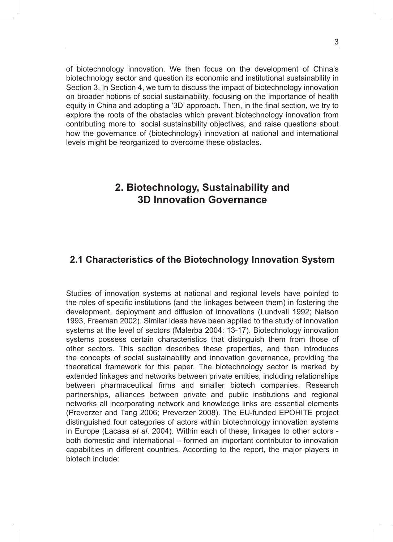of biotechnology innovation. We then focus on the development of China's biotechnology sector and question its economic and institutional sustainability in Section 3. In Section 4, we turn to discuss the impact of biotechnology innovation on broader notions of social sustainability, focusing on the importance of health equity in China and adopting a '3D' approach. Then, in the final section, we try to explore the roots of the obstacles which prevent biotechnology innovation from contributing more to social sustainability objectives, and raise questions about how the governance of (biotechnology) innovation at national and international levels might be reorganized to overcome these obstacles.

# **2. Biotechnology, Sustainability and 3D Innovation Governance**

#### **2.1 Characteristics of the Biotechnology Innovation System**

Studies of innovation systems at national and regional levels have pointed to the roles of specific institutions (and the linkages between them) in fostering the development, deployment and diffusion of innovations (Lundvall 1992; Nelson 1993, Freeman 2002). Similar ideas have been applied to the study of innovation systems at the level of sectors (Malerba 2004: 13-17). Biotechnology innovation systems possess certain characteristics that distinguish them from those of other sectors. This section describes these properties, and then introduces the concepts of social sustainability and innovation governance, providing the theoretical framework for this paper. The biotechnology sector is marked by extended linkages and networks between private entities, including relationships between pharmaceutical firms and smaller biotech companies. Research partnerships, alliances between private and public institutions and regional networks all incorporating network and knowledge links are essential elements (Preverzer and Tang 2006; Preverzer 2008). The EU-funded EPOHITE project distinguished four categories of actors within biotechnology innovation systems in Europe (Lacasa *et al*. 2004). Within each of these, linkages to other actors both domestic and international – formed an important contributor to innovation capabilities in different countries. According to the report, the major players in biotech include: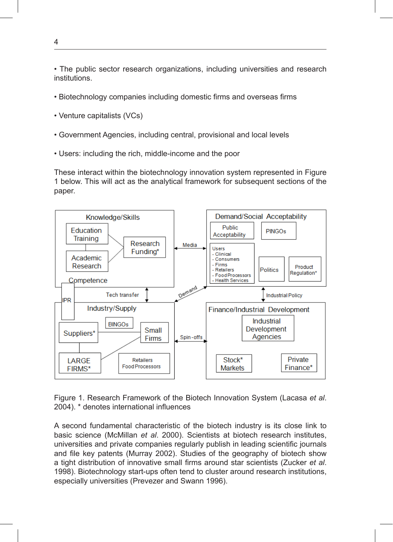• The public sector research organizations, including universities and research institutions.

 $\bullet$  Biotechnology companies including domestic firms and overseas firms

Biology and biology and biology and biology and biology and biology and biology and biology and biology and biology

- Venture capitalists (VCs)
- Government Agencies, including central, provisional and local levels
	- Users: including the rich, middle-income and the poor

Figure 1. Research Framework of the Biotech Innovation System (Lacasa *et al.* 2004) 1 below. This will act as the analytical framework for subsequent sections of the These interact within the biotechnology innovation system represented in Figure paper.



Figure 1. Research Framework of the Biotech Innovation System (Lacasa *et al.* 4.  $\overline{a}$ 2004). \* denotes international influences

1 basic science (McMillan *et al*. 2000). Scientists at biotech research institutes, A second fundamental characteristic of the biotech industry is its close link to universities and private companies regularly publish in leading scientific journals and file key patents (Murray 2002). Studies of the geography of biotech show a tight distribution of innovative small firms around star scientists (Zucker *et al*. 1998). Biotechnology start-ups often tend to cluster around research institutions, especially universities (Prevezer and Swann 1996).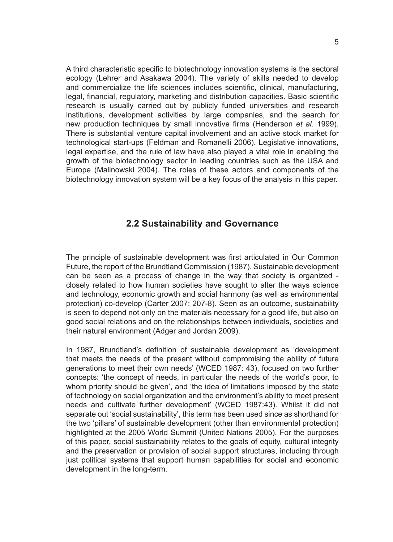A third characteristic specific to biotechnology innovation systems is the sectoral ecology (Lehrer and Asakawa 2004). The variety of skills needed to develop and commercialize the life sciences includes scientific, clinical, manufacturing, legal, financial, regulatory, marketing and distribution capacities. Basic scientific research is usually carried out by publicly funded universities and research institutions, development activities by large companies, and the search for new production techniques by small innovative firms (Henderson *et al*. 1999). There is substantial venture capital involvement and an active stock market for technological start-ups (Feldman and Romanelli 2006). Legislative innovations, legal expertise, and the rule of law have also played a vital role in enabling the growth of the biotechnology sector in leading countries such as the USA and Europe (Malinowski 2004). The roles of these actors and components of the biotechnology innovation system will be a key focus of the analysis in this paper.

#### **2.2 Sustainability and Governance**

The principle of sustainable development was first articulated in Our Common Future, the report of the Brundtland Commission (1987). Sustainable development can be seen as a process of change in the way that society is organized closely related to how human societies have sought to alter the ways science and technology, economic growth and social harmony (as well as environmental protection) co-develop (Carter 2007: 207-8). Seen as an outcome, sustainability is seen to depend not only on the materials necessary for a good life, but also on good social relations and on the relationships between individuals, societies and their natural environment (Adger and Jordan 2009).

In 1987, Brundtland's definition of sustainable development as 'development that meets the needs of the present without compromising the ability of future generations to meet their own needs' (WCED 1987: 43), focused on two further concepts: 'the concept of needs, in particular the needs of the world's poor, to whom priority should be given', and 'the idea of limitations imposed by the state of technology on social organization and the environment's ability to meet present needs and cultivate further development' (WCED 1987:43). Whilst it did not separate out 'social sustainability', this term has been used since as shorthand for the two 'pillars' of sustainable development (other than environmental protection) highlighted at the 2005 World Summit (United Nations 2005). For the purposes of this paper, social sustainability relates to the goals of equity, cultural integrity and the preservation or provision of social support structures, including through just political systems that support human capabilities for social and economic development in the long-term.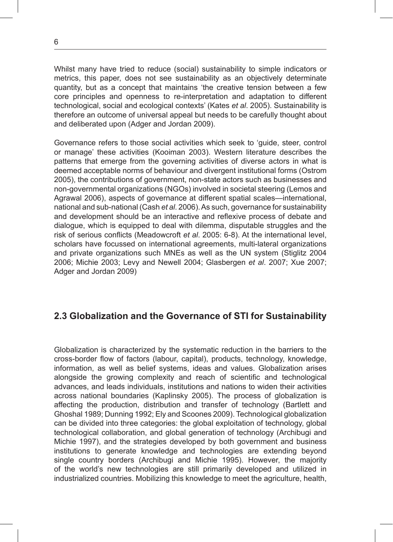Whilst many have tried to reduce (social) sustainability to simple indicators or metrics, this paper, does not see sustainability as an objectively determinate quantity, but as a concept that maintains 'the creative tension between a few core principles and openness to re-interpretation and adaptation to different technological, social and ecological contexts' (Kates *et al*. 2005). Sustainability is therefore an outcome of universal appeal but needs to be carefully thought about and deliberated upon (Adger and Jordan 2009).

Governance refers to those social activities which seek to 'guide, steer, control or manage' these activities (Kooiman 2003). Western literature describes the patterns that emerge from the governing activities of diverse actors in what is deemed acceptable norms of behaviour and divergent institutional forms (Ostrom 2005), the contributions of government, non-state actors such as businesses and non-governmental organizations (NGOs) involved in societal steering (Lemos and Agrawal 2006), aspects of governance at different spatial scales—international, national and sub-national (Cash *et al*. 2006). As such, governance for sustainability and development should be an interactive and reflexive process of debate and dialogue, which is equipped to deal with dilemma, disputable struggles and the risk of serious conflicts (Meadowcroft *et al*. 2005: 6-8). At the international level, scholars have focussed on international agreements, multi-lateral organizations and private organizations such MNEs as well as the UN system (Stiglitz 2004 2006; Michie 2003; Levy and Newell 2004; Glasbergen *et al*. 2007; Xue 2007; Adger and Jordan 2009)

#### **2.3 Globalization and the Governance of STI for Sustainability**

Globalization is characterized by the systematic reduction in the barriers to the cross-border flow of factors (labour, capital), products, technology, knowledge, information, as well as belief systems, ideas and values. Globalization arises alongside the growing complexity and reach of scientific and technological advances, and leads individuals, institutions and nations to widen their activities across national boundaries (Kaplinsky 2005). The process of globalization is affecting the production, distribution and transfer of technology (Bartlett and Ghoshal 1989; Dunning 1992; Ely and Scoones 2009). Technological globalization can be divided into three categories: the global exploitation of technology, global technological collaboration, and global generation of technology (Archibugi and Michie 1997), and the strategies developed by both government and business institutions to generate knowledge and technologies are extending beyond single country borders (Archibugi and Michie 1995). However, the majority of the world's new technologies are still primarily developed and utilized in industrialized countries. Mobilizing this knowledge to meet the agriculture, health,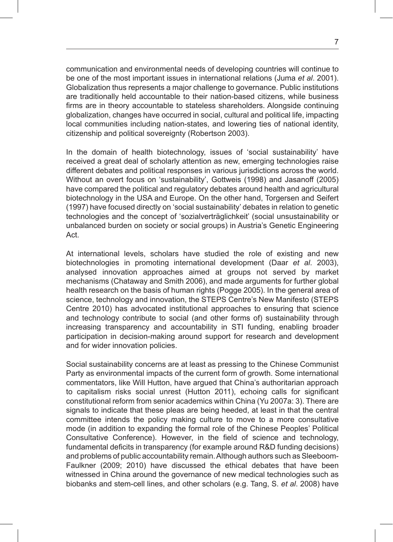communication and environmental needs of developing countries will continue to be one of the most important issues in international relations (Juma *et al*. 2001). Globalization thus represents a major challenge to governance. Public institutions are traditionally held accountable to their nation-based citizens, while business firms are in theory accountable to stateless shareholders. Alongside continuing globalization, changes have occurred in social, cultural and political life, impacting local communities including nation-states, and lowering ties of national identity, citizenship and political sovereignty (Robertson 2003).

In the domain of health biotechnology, issues of 'social sustainability' have received a great deal of scholarly attention as new, emerging technologies raise different debates and political responses in various jurisdictions across the world. Without an overt focus on 'sustainability', Gottweis (1998) and Jasanoff (2005) have compared the political and regulatory debates around health and agricultural biotechnology in the USA and Europe. On the other hand, Torgersen and Seifert (1997) have focused directly on 'social sustainability' debates in relation to genetic technologies and the concept of 'sozialverträglichkeit' (social unsustainability or unbalanced burden on society or social groups) in Austria's Genetic Engineering Act.

At international levels, scholars have studied the role of existing and new biotechnologies in promoting international development (Daar *et al*. 2003), analysed innovation approaches aimed at groups not served by market mechanisms (Chataway and Smith 2006), and made arguments for further global health research on the basis of human rights (Pogge 2005). In the general area of science, technology and innovation, the STEPS Centre's New Manifesto (STEPS Centre 2010) has advocated institutional approaches to ensuring that science and technology contribute to social (and other forms of) sustainability through increasing transparency and accountability in STI funding, enabling broader participation in decision-making around support for research and development and for wider innovation policies.

Social sustainability concerns are at least as pressing to the Chinese Communist Party as environmental impacts of the current form of growth. Some international commentators, like Will Hutton, have argued that China's authoritarian approach to capitalism risks social unrest (Hutton 2011), echoing calls for significant constitutional reform from senior academics within China (Yu 2007a: 3). There are signals to indicate that these pleas are being heeded, at least in that the central committee intends the policy making culture to move to a more consultative mode (in addition to expanding the formal role of the Chinese Peoples' Political Consultative Conference). However, in the field of science and technology, fundamental deficits in transparency (for example around R&D funding decisions) and problems of public accountability remain. Although authors such as Sleeboom-Faulkner (2009; 2010) have discussed the ethical debates that have been witnessed in China around the governance of new medical technologies such as biobanks and stem-cell lines, and other scholars (e.g. Tang, S. *et al*. 2008) have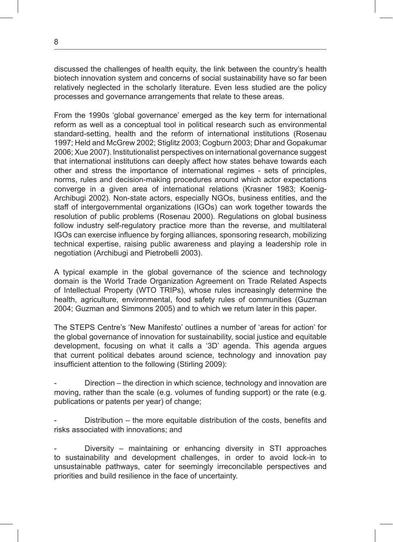discussed the challenges of health equity, the link between the country's health biotech innovation system and concerns of social sustainability have so far been relatively neglected in the scholarly literature. Even less studied are the policy processes and governance arrangements that relate to these areas.

From the 1990s 'global governance' emerged as the key term for international reform as well as a conceptual tool in political research such as environmental standard-setting, health and the reform of international institutions (Rosenau 1997; Held and McGrew 2002; Stiglitz 2003; Cogburn 2003; Dhar and Gopakumar 2006; Xue 2007). Institutionalist perspectives on international governance suggest that international institutions can deeply affect how states behave towards each other and stress the importance of international regimes - sets of principles, norms, rules and decision-making procedures around which actor expectations converge in a given area of international relations (Krasner 1983; Koenig-Archibugi 2002). Non-state actors, especially NGOs, business entities, and the staff of intergovernmental organizations (IGOs) can work together towards the resolution of public problems (Rosenau 2000). Regulations on global business follow industry self-regulatory practice more than the reverse, and multilateral IGOs can exercise influence by forging alliances, sponsoring research, mobilizing technical expertise, raising public awareness and playing a leadership role in negotiation (Archibugi and Pietrobelli 2003).

A typical example in the global governance of the science and technology domain is the World Trade Organization Agreement on Trade Related Aspects of Intellectual Property (WTO TRIPs), whose rules increasingly determine the health, agriculture, environmental, food safety rules of communities (Guzman 2004; Guzman and Simmons 2005) and to which we return later in this paper.

The STEPS Centre's 'New Manifesto' outlines a number of 'areas for action' for the global governance of innovation for sustainability, social justice and equitable development, focusing on what it calls a '3D' agenda. This agenda argues that current political debates around science, technology and innovation pay insufficient attention to the following (Stirling 2009):

Direction – the direction in which science, technology and innovation are moving, rather than the scale (e.g. volumes of funding support) or the rate (e.g. publications or patents per year) of change;

Distribution – the more equitable distribution of the costs, benefits and risks associated with innovations; and

Diversity – maintaining or enhancing diversity in STI approaches to sustainability and development challenges, in order to avoid lock-in to unsustainable pathways, cater for seemingly irreconcilable perspectives and priorities and build resilience in the face of uncertainty.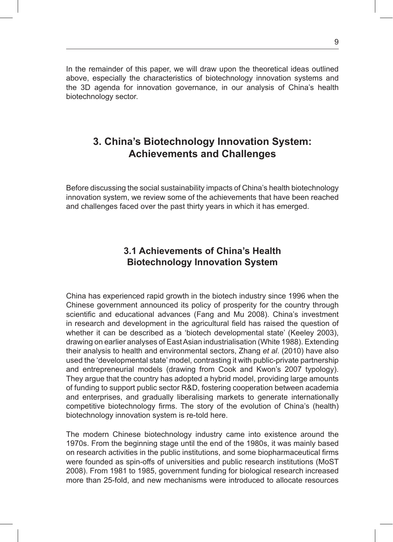In the remainder of this paper, we will draw upon the theoretical ideas outlined above, especially the characteristics of biotechnology innovation systems and the 3D agenda for innovation governance, in our analysis of China's health biotechnology sector.

# **3. China's Biotechnology Innovation System: Achievements and Challenges**

Before discussing the social sustainability impacts of China's health biotechnology innovation system, we review some of the achievements that have been reached and challenges faced over the past thirty years in which it has emerged.

### **3.1 Achievements of China's Health Biotechnology Innovation System**

China has experienced rapid growth in the biotech industry since 1996 when the Chinese government announced its policy of prosperity for the country through scientific and educational advances (Fang and Mu 2008). China's investment in research and development in the agricultural field has raised the question of whether it can be described as a 'biotech developmental state' (Keeley 2003), drawing on earlier analyses of East Asian industrialisation (White 1988). Extending their analysis to health and environmental sectors, Zhang *et al*. (2010) have also used the 'developmental state' model, contrasting it with public-private partnership and entrepreneurial models (drawing from Cook and Kwon's 2007 typology). They argue that the country has adopted a hybrid model, providing large amounts of funding to support public sector R&D, fostering cooperation between academia and enterprises, and gradually liberalising markets to generate internationally competitive biotechnology firms. The story of the evolution of China's (health) biotechnology innovation system is re-told here.

The modern Chinese biotechnology industry came into existence around the 1970s. From the beginning stage until the end of the 1980s, it was mainly based on research activities in the public institutions, and some biopharmaceutical firms were founded as spin-offs of universities and public research institutions (MoST 2008). From 1981 to 1985, government funding for biological research increased more than 25-fold, and new mechanisms were introduced to allocate resources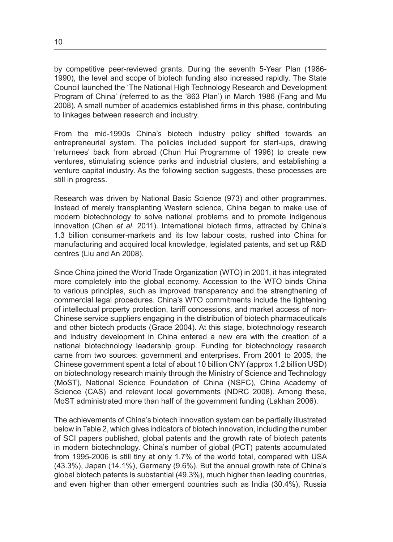by competitive peer-reviewed grants. During the seventh 5-Year Plan (1986- 1990), the level and scope of biotech funding also increased rapidly. The State Council launched the 'The National High Technology Research and Development Program of China' (referred to as the '863 Plan') in March 1986 (Fang and Mu 2008). A small number of academics established firms in this phase, contributing to linkages between research and industry.

From the mid-1990s China's biotech industry policy shifted towards an entrepreneurial system. The policies included support for start-ups, drawing 'returnees' back from abroad (Chun Hui Programme of 1996) to create new ventures, stimulating science parks and industrial clusters, and establishing a venture capital industry. As the following section suggests, these processes are still in progress.

Research was driven by National Basic Science (973) and other programmes. Instead of merely transplanting Western science, China began to make use of modern biotechnology to solve national problems and to promote indigenous innovation (Chen *et al*. 2011). International biotech firms, attracted by China's 1.3 billion consumer-markets and its low labour costs, rushed into China for manufacturing and acquired local knowledge, legislated patents, and set up R&D centres (Liu and An 2008).

Since China joined the World Trade Organization (WTO) in 2001, it has integrated more completely into the global economy. Accession to the WTO binds China to various principles, such as improved transparency and the strengthening of commercial legal procedures. China's WTO commitments include the tightening of intellectual property protection, tariff concessions, and market access of non-Chinese service suppliers engaging in the distribution of biotech pharmaceuticals and other biotech products (Grace 2004). At this stage, biotechnology research and industry development in China entered a new era with the creation of a national biotechnology leadership group. Funding for biotechnology research came from two sources: government and enterprises. From 2001 to 2005, the Chinese government spent a total of about 10 billion CNY (approx 1.2 billion USD) on biotechnology research mainly through the Ministry of Science and Technology (MoST), National Science Foundation of China (NSFC), China Academy of Science (CAS) and relevant local governments (NDRC 2008). Among these, MoST administrated more than half of the government funding (Lakhan 2006).

The achievements of China's biotech innovation system can be partially illustrated below in Table 2, which gives indicators of biotech innovation, including the number of SCI papers published, global patents and the growth rate of biotech patents in modern biotechnology. China's number of global (PCT) patents accumulated from 1995-2006 is still tiny at only 1.7% of the world total, compared with USA (43.3%), Japan (14.1%), Germany (9.6%). But the annual growth rate of China's global biotech patents is substantial (49.3%), much higher than leading countries, and even higher than other emergent countries such as India (30.4%), Russia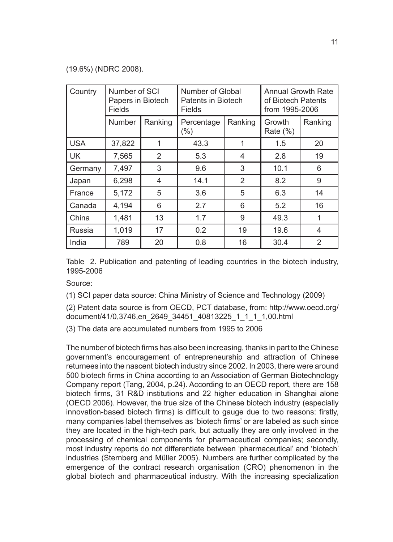#### (19.6%) (NDRC 2008).

| Country    | Number of SCI<br>Papers in Biotech<br>Fields |         | Number of Global<br>Patents in Biotech<br>Fields |                | Annual Growth Rate<br>of Biotech Patents<br>from 1995-2006 |                |  |
|------------|----------------------------------------------|---------|--------------------------------------------------|----------------|------------------------------------------------------------|----------------|--|
|            | <b>Number</b>                                | Ranking | Percentage<br>$(\% )$                            | Ranking        |                                                            | Ranking        |  |
| <b>USA</b> | 37,822                                       | 1       | 43.3                                             |                | 1.5                                                        | 20             |  |
| <b>UK</b>  | 7,565                                        | 2       | 5.3                                              | $\overline{4}$ | 2.8                                                        | 19             |  |
| Germany    | 7,497                                        | 3       | 9.6                                              | 3              | 10.1                                                       | 6              |  |
| Japan      | 6,298                                        | 4       | 14.1                                             | 2              | 8.2                                                        | 9              |  |
| France     | 5,172                                        | 5       | 3.6                                              | 5              | 6.3                                                        | 14             |  |
| Canada     | 4,194                                        | 6       | 2.7                                              | 6              | 5.2                                                        | 16             |  |
| China      | 1.481                                        | 13      | 1.7                                              | 9              | 49.3                                                       | 1              |  |
| Russia     | 1.019                                        | 17      | 0.2                                              | 19             | 19.6                                                       | $\overline{4}$ |  |
| India      | 789                                          | 20      | 0.8                                              | 16             | 30.4                                                       | $\overline{2}$ |  |

Table 2. Publication and patenting of leading countries in the biotech industry, 1995-2006

Source:

(1) SCI paper data source: China Ministry of Science and Technology (2009)

(2) Patent data source is from OECD, PCT database, from: http://www.oecd.org/ document/41/0,3746,en\_2649\_34451\_40813225\_1\_1\_1\_1,00.html

(3) The data are accumulated numbers from 1995 to 2006

The number of biotech firms has also been increasing, thanks in part to the Chinese government's encouragement of entrepreneurship and attraction of Chinese returnees into the nascent biotech industry since 2002. In 2003, there were around 500 biotech firms in China according to an Association of German Biotechnology Company report (Tang, 2004, p.24). According to an OECD report, there are 158 biotech firms, 31 R&D institutions and 22 higher education in Shanghai alone (OECD 2006). However, the true size of the Chinese biotech industry (especially innovation-based biotech firms) is difficult to gauge due to two reasons: firstly, many companies label themselves as 'biotech firms' or are labeled as such since they are located in the high-tech park, but actually they are only involved in the processing of chemical components for pharmaceutical companies; secondly, most industry reports do not differentiate between 'pharmaceutical' and 'biotech' industries (Sternberg and Müller 2005). Numbers are further complicated by the emergence of the contract research organisation (CRO) phenomenon in the global biotech and pharmaceutical industry. With the increasing specialization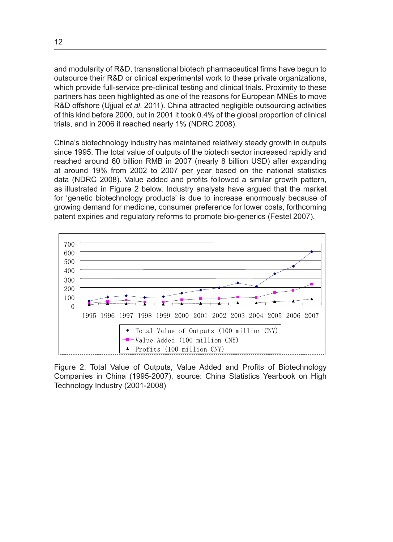and modularity of R&D, transnational biotech pharmaceutical firms have begun to outsource their R&D or clinical experimental work to these private organizations, which provide full-service pre-clinical testing and clinical trials. Proximity to these partners has been highlighted as one of the reasons for European MNEs to move R&D offshore (Ujjual *et al*. 2011). China attracted negligible outsourcing activities of this kind before 2000, but in 2001 it took 0.4% of the global proportion of clinical trials, and in 2006 it reached nearly 1% (NDRC 2008).

China's biotechnology industry has maintained relatively steady growth in outputs since 1995. The total value of outputs of the biotech sector increased rapidly and reached around 60 billion RMB in 2007 (nearly 8 billion USD) after expanding at around 19% from 2002 to 2007 per year based on the national statistics data (NDRC 2008). Value added and profits followed a similar growth pattern, as illustrated in Figure 2 below. Industry analysts have argued that the market for 'genetic biotechnology products' is due to increase enormously because of growing demand for medicine, consumer preference for lower costs, forthcoming patent expiries and regulatory reforms to promote bio-generics (Festel 2007).



Figure 2. Total Value of Outputs, Value Added and Profits of Biotechnology Pigure 2. Total Value of Outputs, value Added and Fronts of Blotechnology<br>Companies in China (1995-2007), source: China Statistics Yearbook on High Technology Industry (2001-2008)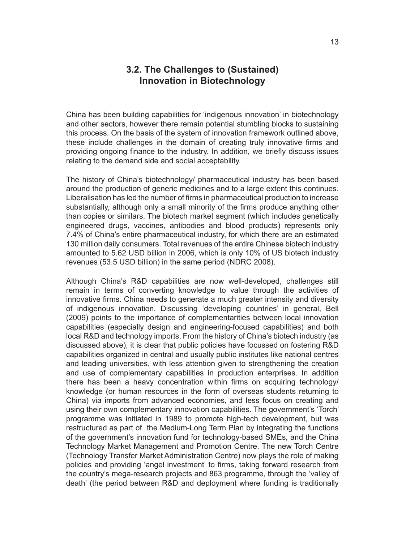#### **3.2. The Challenges to (Sustained) Innovation in Biotechnology**

China has been building capabilities for 'indigenous innovation' in biotechnology and other sectors, however there remain potential stumbling blocks to sustaining this process. On the basis of the system of innovation framework outlined above, these include challenges in the domain of creating truly innovative firms and providing ongoing finance to the industry. In addition, we briefly discuss issues relating to the demand side and social acceptability.

The history of China's biotechnology/ pharmaceutical industry has been based around the production of generic medicines and to a large extent this continues. Liberalisation has led the number of firms in pharmaceutical production to increase substantially, although only a small minority of the firms produce anything other than copies or similars. The biotech market segment (which includes genetically engineered drugs, vaccines, antibodies and blood products) represents only 7.4% of China's entire pharmaceutical industry, for which there are an estimated 130 million daily consumers. Total revenues of the entire Chinese biotech industry amounted to 5.62 USD billion in 2006, which is only 10% of US biotech industry revenues (53.5 USD billion) in the same period (NDRC 2008).

Although China's R&D capabilities are now well-developed, challenges still remain in terms of converting knowledge to value through the activities of innovative firms. China needs to generate a much greater intensity and diversity of indigenous innovation. Discussing 'developing countries' in general, Bell (2009) points to the importance of complementarities between local innovation capabilities (especially design and engineering-focused capabilities) and both local R&D and technology imports. From the history of China's biotech industry (as discussed above), it is clear that public policies have focussed on fostering R&D capabilities organized in central and usually public institutes like national centres and leading universities, with less attention given to strengthening the creation and use of complementary capabilities in production enterprises. In addition there has been a heavy concentration within firms on acquiring technology/ knowledge (or human resources in the form of overseas students returning to China) via imports from advanced economies, and less focus on creating and using their own complementary innovation capabilities. The government's 'Torch' programme was initiated in 1989 to promote high-tech development, but was restructured as part of the Medium-Long Term Plan by integrating the functions of the government's innovation fund for technology-based SMEs, and the China Technology Market Management and Promotion Centre. The new Torch Centre (Technology Transfer Market Administration Centre) now plays the role of making policies and providing 'angel investment' to firms, taking forward research from the country's mega-research projects and 863 programme, through the 'valley of death' (the period between R&D and deployment where funding is traditionally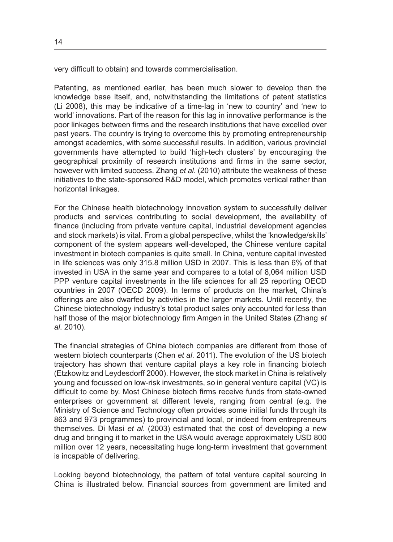very difficult to obtain) and towards commercialisation.

Patenting, as mentioned earlier, has been much slower to develop than the knowledge base itself, and, notwithstanding the limitations of patent statistics (Li 2008), this may be indicative of a time-lag in 'new to country' and 'new to world' innovations. Part of the reason for this lag in innovative performance is the poor linkages between firms and the research institutions that have excelled over past years. The country is trying to overcome this by promoting entrepreneurship amongst academics, with some successful results. In addition, various provincial governments have attempted to build 'high-tech clusters' by encouraging the geographical proximity of research institutions and firms in the same sector, however with limited success. Zhang *et al*. (2010) attribute the weakness of these initiatives to the state-sponsored R&D model, which promotes vertical rather than horizontal linkages.

For the Chinese health biotechnology innovation system to successfully deliver products and services contributing to social development, the availability of finance (including from private venture capital, industrial development agencies and stock markets) is vital. From a global perspective, whilst the 'knowledge/skills' component of the system appears well-developed, the Chinese venture capital investment in biotech companies is quite small. In China, venture capital invested in life sciences was only 315.8 million USD in 2007. This is less than 6% of that invested in USA in the same year and compares to a total of 8,064 million USD PPP venture capital investments in the life sciences for all 25 reporting OECD countries in 2007 (OECD 2009). In terms of products on the market, China's offerings are also dwarfed by activities in the larger markets. Until recently, the Chinese biotechnology industry's total product sales only accounted for less than half those of the major biotechnology firm Amgen in the United States (Zhang *et al*. 2010).

The financial strategies of China biotech companies are different from those of western biotech counterparts (Chen *et al*. 2011). The evolution of the US biotech trajectory has shown that venture capital plays a key role in financing biotech (Etzkowitz and Leydesdorff 2000). However, the stock market in China is relatively young and focussed on low-risk investments, so in general venture capital (VC) is difficult to come by. Most Chinese biotech firms receive funds from state-owned enterprises or government at different levels, ranging from central (e.g. the Ministry of Science and Technology often provides some initial funds through its 863 and 973 programmes) to provincial and local, or indeed from entrepreneurs themselves. Di Masi *et al*. (2003) estimated that the cost of developing a new drug and bringing it to market in the USA would average approximately USD 800 million over 12 years, necessitating huge long-term investment that government is incapable of delivering.

Looking beyond biotechnology, the pattern of total venture capital sourcing in China is illustrated below. Financial sources from government are limited and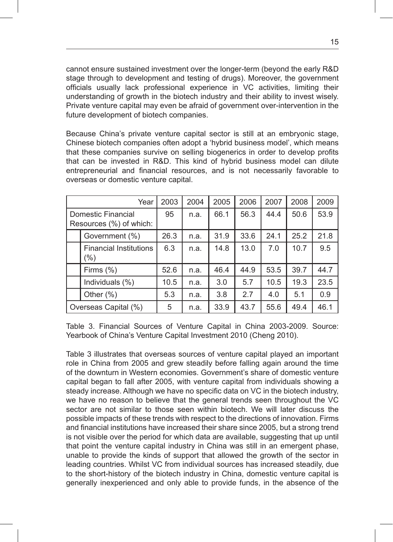cannot ensure sustained investment over the longer-term (beyond the early R&D stage through to development and testing of drugs). Moreover, the government officials usually lack professional experience in VC activities, limiting their understanding of growth in the biotech industry and their ability to invest wisely. Private venture capital may even be afraid of government over-intervention in the future development of biotech companies.

Because China's private venture capital sector is still at an embryonic stage, Chinese biotech companies often adopt a 'hybrid business model', which means that these companies survive on selling biogenerics in order to develop profits that can be invested in R&D. This kind of hybrid business model can dilute entrepreneurial and financial resources, and is not necessarily favorable to overseas or domestic venture capital.

|                                               | Year            | 2003 | 2004 | 2005 | 2006 | 2007 | 2008 | 2009 |
|-----------------------------------------------|-----------------|------|------|------|------|------|------|------|
| Domestic Financial<br>Resources (%) of which: |                 | 95   | n.a. | 66.1 | 56.3 | 44.4 | 50.6 | 53.9 |
|                                               | Government (%)  |      | n.a. | 31.9 | 33.6 | 24.1 | 25.2 | 21.8 |
| <b>Financial Institutions</b><br>$(\% )$      |                 | 6.3  | n.a. | 14.8 | 13.0 | 7.0  | 10.7 | 9.5  |
|                                               | Firms $(\%)$    | 52.6 | n.a. | 46.4 | 44.9 | 53.5 | 39.7 | 44.7 |
|                                               | Individuals (%) | 10.5 | n.a. | 3.0  | 5.7  | 10.5 | 19.3 | 23.5 |
|                                               | Other $(\% )$   | 5.3  | n.a. | 3.8  | 2.7  | 4.0  | 5.1  | 0.9  |
| Overseas Capital (%)                          |                 | 5    | n.a. | 33.9 | 43.7 | 55.6 | 49.4 | 46.1 |

Table 3. Financial Sources of Venture Capital in China 2003-2009. Source: Yearbook of China's Venture Capital Investment 2010 (Cheng 2010).

Table 3 illustrates that overseas sources of venture capital played an important role in China from 2005 and grew steadily before falling again around the time of the downturn in Western economies. Government's share of domestic venture capital began to fall after 2005, with venture capital from individuals showing a steady increase. Although we have no specific data on VC in the biotech industry, we have no reason to believe that the general trends seen throughout the VC sector are not similar to those seen within biotech. We will later discuss the possible impacts of these trends with respect to the directions of innovation. Firms and financial institutions have increased their share since 2005, but a strong trend is not visible over the period for which data are available, suggesting that up until that point the venture capital industry in China was still in an emergent phase, unable to provide the kinds of support that allowed the growth of the sector in leading countries. Whilst VC from individual sources has increased steadily, due to the short-history of the biotech industry in China, domestic venture capital is generally inexperienced and only able to provide funds, in the absence of the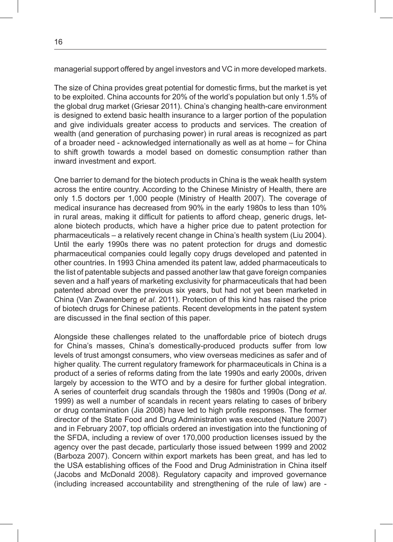managerial support offered by angel investors and VC in more developed markets.

The size of China provides great potential for domestic firms, but the market is yet to be exploited. China accounts for 20% of the world's population but only 1.5% of the global drug market (Griesar 2011). China's changing health-care environment is designed to extend basic health insurance to a larger portion of the population and give individuals greater access to products and services. The creation of wealth (and generation of purchasing power) in rural areas is recognized as part of a broader need - acknowledged internationally as well as at home – for China to shift growth towards a model based on domestic consumption rather than inward investment and export.

One barrier to demand for the biotech products in China is the weak health system across the entire country. According to the Chinese Ministry of Health, there are only 1.5 doctors per 1,000 people (Ministry of Health 2007). The coverage of medical insurance has decreased from 90% in the early 1980s to less than 10% in rural areas, making it difficult for patients to afford cheap, generic drugs, letalone biotech products, which have a higher price due to patent protection for pharmaceuticals – a relatively recent change in China's health system (Liu 2004). Until the early 1990s there was no patent protection for drugs and domestic pharmaceutical companies could legally copy drugs developed and patented in other countries. In 1993 China amended its patent law, added pharmaceuticals to the list of patentable subjects and passed another law that gave foreign companies seven and a half years of marketing exclusivity for pharmaceuticals that had been patented abroad over the previous six years, but had not yet been marketed in China (Van Zwanenberg *et al*. 2011). Protection of this kind has raised the price of biotech drugs for Chinese patients. Recent developments in the patent system are discussed in the final section of this paper.

Alongside these challenges related to the unaffordable price of biotech drugs for China's masses, China's domestically-produced products suffer from low levels of trust amongst consumers, who view overseas medicines as safer and of higher quality. The current regulatory framework for pharmaceuticals in China is a product of a series of reforms dating from the late 1990s and early 2000s, driven largely by accession to the WTO and by a desire for further global integration. A series of counterfeit drug scandals through the 1980s and 1990s (Dong *et al*. 1999) as well a number of scandals in recent years relating to cases of bribery or drug contamination (Jia 2008) have led to high profile responses. The former director of the State Food and Drug Administration was executed (Nature 2007) and in February 2007, top officials ordered an investigation into the functioning of the SFDA, including a review of over 170,000 production licenses issued by the agency over the past decade, particularly those issued between 1999 and 2002 (Barboza 2007). Concern within export markets has been great, and has led to the USA establishing offices of the Food and Drug Administration in China itself (Jacobs and McDonald 2008). Regulatory capacity and improved governance (including increased accountability and strengthening of the rule of law) are -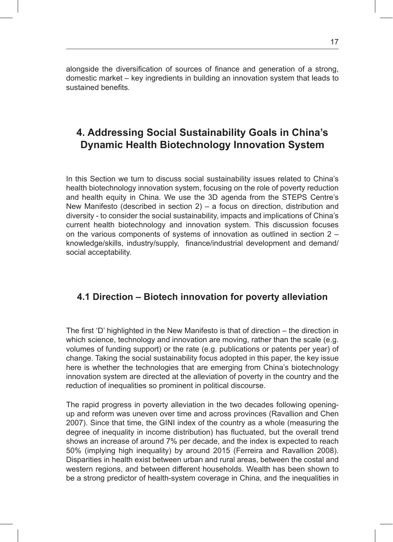alongside the diversification of sources of finance and generation of a strong, domestic market – key ingredients in building an innovation system that leads to sustained benefits.

# **4. Addressing Social Sustainability Goals in China's Dynamic Health Biotechnology Innovation System**

In this Section we turn to discuss social sustainability issues related to China's health biotechnology innovation system, focusing on the role of poverty reduction and health equity in China. We use the 3D agenda from the STEPS Centre's New Manifesto (described in section  $2$ ) – a focus on direction, distribution and diversity - to consider the social sustainability, impacts and implications of China's current health biotechnology and innovation system. This discussion focuses on the various components of systems of innovation as outlined in section 2 – knowledge/skills, industry/supply, finance/industrial development and demand/ social acceptability.

#### **4.1 Direction – Biotech innovation for poverty alleviation**

The first 'D' highlighted in the New Manifesto is that of direction – the direction in which science, technology and innovation are moving, rather than the scale (e.g. volumes of funding support) or the rate (e.g. publications or patents per year) of change. Taking the social sustainability focus adopted in this paper, the key issue here is whether the technologies that are emerging from China's biotechnology innovation system are directed at the alleviation of poverty in the country and the reduction of inequalities so prominent in political discourse.

The rapid progress in poverty alleviation in the two decades following openingup and reform was uneven over time and across provinces (Ravallion and Chen 2007). Since that time, the GINI index of the country as a whole (measuring the degree of inequality in income distribution) has fluctuated, but the overall trend shows an increase of around 7% per decade, and the index is expected to reach 50% (implying high inequality) by around 2015 (Ferreira and Ravallion 2008). Disparities in health exist between urban and rural areas, between the costal and western regions, and between different households. Wealth has been shown to be a strong predictor of health-system coverage in China, and the inequalities in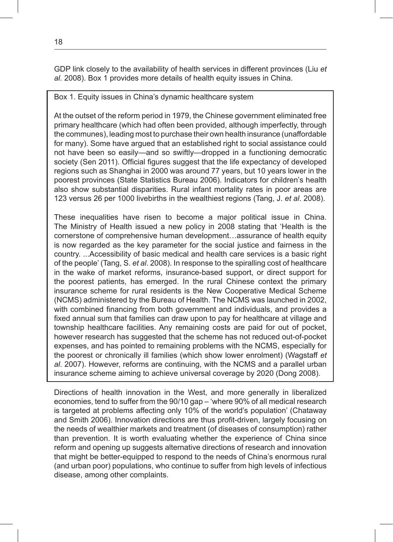GDP link closely to the availability of health services in different provinces (Liu *et al*. 2008). Box 1 provides more details of health equity issues in China.

#### Box 1. Equity issues in China's dynamic healthcare system

At the outset of the reform period in 1979, the Chinese government eliminated free primary healthcare (which had often been provided, although imperfectly, through the communes), leading most to purchase their own health insurance (unaffordable for many). Some have argued that an established right to social assistance could not have been so easily—and so swiftly—dropped in a functioning democratic society (Sen 2011). Official figures suggest that the life expectancy of developed regions such as Shanghai in 2000 was around 77 years, but 10 years lower in the poorest provinces (State Statistics Bureau 2006). Indicators for children's health also show substantial disparities. Rural infant mortality rates in poor areas are 123 versus 26 per 1000 livebirths in the wealthiest regions (Tang, J. *et al*. 2008).

These inequalities have risen to become a major political issue in China. The Ministry of Health issued a new policy in 2008 stating that 'Health is the cornerstone of comprehensive human development…assurance of health equity is now regarded as the key parameter for the social justice and fairness in the country. ...Accessibility of basic medical and health care services is a basic right of the people' (Tang, S. *et al*. 2008). In response to the spiralling cost of healthcare in the wake of market reforms, insurance-based support, or direct support for the poorest patients, has emerged. In the rural Chinese context the primary insurance scheme for rural residents is the New Cooperative Medical Scheme (NCMS) administered by the Bureau of Health. The NCMS was launched in 2002, with combined financing from both government and individuals, and provides a fixed annual sum that families can draw upon to pay for healthcare at village and township healthcare facilities. Any remaining costs are paid for out of pocket, however research has suggested that the scheme has not reduced out-of-pocket expenses, and has pointed to remaining problems with the NCMS, especially for the poorest or chronically ill families (which show lower enrolment) (Wagstaff *et al*. 2007). However, reforms are continuing, with the NCMS and a parallel urban insurance scheme aiming to achieve universal coverage by 2020 (Dong 2008).

Directions of health innovation in the West, and more generally in liberalized economies, tend to suffer from the 90/10 gap – 'where 90% of all medical research is targeted at problems affecting only 10% of the world's population' (Chataway and Smith 2006). Innovation directions are thus profit-driven, largely focusing on the needs of wealthier markets and treatment (of diseases of consumption) rather than prevention. It is worth evaluating whether the experience of China since reform and opening up suggests alternative directions of research and innovation that might be better-equipped to respond to the needs of China's enormous rural (and urban poor) populations, who continue to suffer from high levels of infectious disease, among other complaints.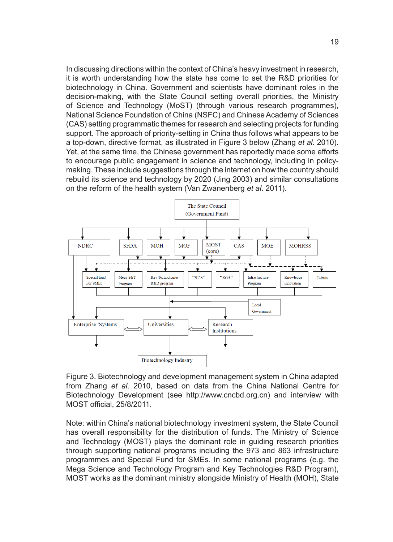In discussing directions within the context of China's heavy investment in research, it is worth understanding how the state has come to set the R&D priorities for his word and scientists have dominant roles in the biotechnology in China. Government and scientists have dominant roles in the decision-making, with the State Council setting overall priorities, the Ministry of Science and Technology (MoST) (through various research programmes), or Science and Technology (MOST) (in ough Vanous Tescarch programmes), National Science Foundation of China (NSFC) and Chinese Academy of Sciences (CAS) setting programmatic themes for research and selecting projects for funding support. The approach of priority-setting in China thus follows what appears to be a top-down, directive format, as illustrated in Figure 3 below (Zhang *et al*. 2010). Yet, at the same time, the Chinese government has reportedly made some efforts to encourage public engagement in science and technology, including in policymaking. These include suggestions through the internet on how the country should rebuild its science and technology by 2020 (Jing 2003) and similar consultations on the reform of the health system (Van Zwanenberg *et al*. 2011).



Figure 3. Biotechnology and development management system in China adapted from Zhang *et al*. 2010, based on data from the China National Centre for Biotechnology Development (see http://www.cncbd.org.cn) and interview with MOST official, 25/8/2011.  $b$ ased on data from the China National Centre for Biotechnology Development (see Eq. 2010)  $\Delta$ 

Note: within China's national biotechnology investment system, the State Council has overall responsibility for the distribution of funds. The Ministry of Science and Technology (MOST) plays the dominant role in guiding research priorities through supporting national programs including the 973 and 863 infrastructure programmes and Special Fund for SMEs. In some national programs (e.g. the Mega Science and Technology Program and Key Technologies R&D Program), mega ocichice and Technology Frogram and Rey Technologies R&D Frogram,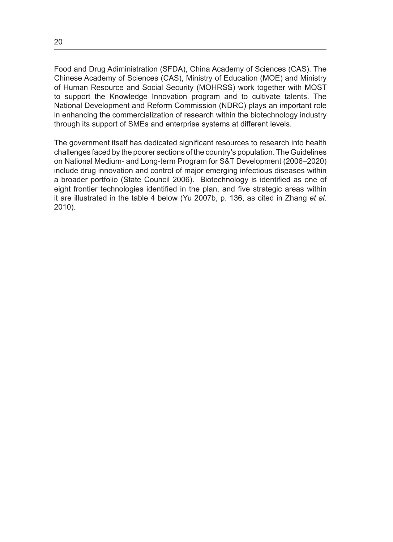Food and Drug Adiministration (SFDA), China Academy of Sciences (CAS). The Chinese Academy of Sciences (CAS), Ministry of Education (MOE) and Ministry of Human Resource and Social Security (MOHRSS) work together with MOST to support the Knowledge Innovation program and to cultivate talents. The National Development and Reform Commission (NDRC) plays an important role in enhancing the commercialization of research within the biotechnology industry through its support of SMEs and enterprise systems at different levels.

The government itself has dedicated significant resources to research into health challenges faced by the poorer sections of the country's population. The Guidelines on National Medium- and Long-term Program for S&T Development (2006–2020) include drug innovation and control of major emerging infectious diseases within a broader portfolio (State Council 2006). Biotechnology is identified as one of eight frontier technologies identified in the plan, and five strategic areas within it are illustrated in the table 4 below (Yu 2007b, p. 136, as cited in Zhang *et al*. 2010).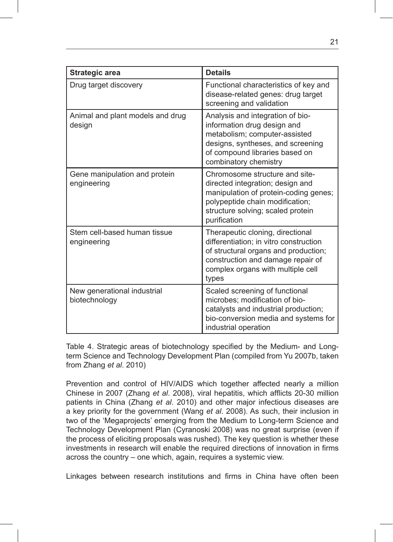| <b>Strategic area</b>                        | <b>Details</b>                                                                                                                                                                                        |
|----------------------------------------------|-------------------------------------------------------------------------------------------------------------------------------------------------------------------------------------------------------|
| Drug target discovery                        | Functional characteristics of key and<br>disease-related genes: drug target<br>screening and validation                                                                                               |
| Animal and plant models and drug<br>design   | Analysis and integration of bio-<br>information drug design and<br>metabolism; computer-assisted<br>designs, syntheses, and screening<br>of compound libraries based on<br>combinatory chemistry      |
| Gene manipulation and protein<br>engineering | Chromosome structure and site-<br>directed integration; design and<br>manipulation of protein-coding genes;<br>polypeptide chain modification;<br>structure solving; scaled protein<br>purification   |
| Stem cell-based human fissue<br>engineering  | Therapeutic cloning, directional<br>differentiation; in vitro construction<br>of structural organs and production;<br>construction and damage repair of<br>complex organs with multiple cell<br>types |
| New generational industrial<br>biotechnology | Scaled screening of functional<br>microbes; modification of bio-<br>catalysts and industrial production;<br>bio-conversion media and systems for<br>industrial operation                              |

Table 4. Strategic areas of biotechnology specified by the Medium- and Longterm Science and Technology Development Plan (compiled from Yu 2007b, taken from Zhang *et al*. 2010)

Prevention and control of HIV/AIDS which together affected nearly a million Chinese in 2007 (Zhang *et al*. 2008), viral hepatitis, which afflicts 20-30 million patients in China (Zhang *et al*. 2010) and other major infectious diseases are a key priority for the government (Wang *et al*. 2008). As such, their inclusion in two of the 'Megaprojects' emerging from the Medium to Long-term Science and Technology Development Plan (Cyranoski 2008) was no great surprise (even if the process of eliciting proposals was rushed). The key question is whether these investments in research will enable the required directions of innovation in firms across the country – one which, again, requires a systemic view.

Linkages between research institutions and firms in China have often been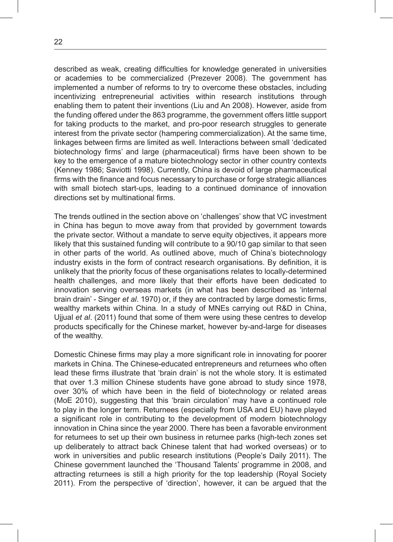described as weak, creating difficulties for knowledge generated in universities or academies to be commercialized (Prezever 2008). The government has implemented a number of reforms to try to overcome these obstacles, including incentivizing entrepreneurial activities within research institutions through enabling them to patent their inventions (Liu and An 2008). However, aside from the funding offered under the 863 programme, the government offers little support for taking products to the market, and pro-poor research struggles to generate interest from the private sector (hampering commercialization). At the same time, linkages between firms are limited as well. Interactions between small 'dedicated biotechnology firms' and large (pharmaceutical) firms have been shown to be key to the emergence of a mature biotechnology sector in other country contexts (Kenney 1986; Saviotti 1998). Currently, China is devoid of large pharmaceutical firms with the finance and focus necessary to purchase or forge strategic alliances with small biotech start-ups, leading to a continued dominance of innovation directions set by multinational firms.

The trends outlined in the section above on 'challenges' show that VC investment in China has begun to move away from that provided by government towards the private sector. Without a mandate to serve equity objectives, it appears more likely that this sustained funding will contribute to a 90/10 gap similar to that seen in other parts of the world. As outlined above, much of China's biotechnology industry exists in the form of contract research organisations. By definition, it is unlikely that the priority focus of these organisations relates to locally-determined health challenges, and more likely that their efforts have been dedicated to innovation serving overseas markets (in what has been described as 'internal brain drain' - Singer *et al*. 1970) or, if they are contracted by large domestic firms, wealthy markets within China. In a study of MNEs carrying out R&D in China, Ujjual *et al*. (2011) found that some of them were using these centres to develop products specifically for the Chinese market, however by-and-large for diseases of the wealthy.

Domestic Chinese firms may play a more significant role in innovating for poorer markets in China. The Chinese-educated entrepreneurs and returnees who often lead these firms illustrate that 'brain drain' is not the whole story. It is estimated that over 1.3 million Chinese students have gone abroad to study since 1978, over 30% of which have been in the field of biotechnology or related areas (MoE 2010), suggesting that this 'brain circulation' may have a continued role to play in the longer term. Returnees (especially from USA and EU) have played a significant role in contributing to the development of modern biotechnology innovation in China since the year 2000. There has been a favorable environment for returnees to set up their own business in returnee parks (high-tech zones set up deliberately to attract back Chinese talent that had worked overseas) or to work in universities and public research institutions (People's Daily 2011). The Chinese government launched the 'Thousand Talents' programme in 2008, and attracting returnees is still a high priority for the top leadership (Royal Society 2011). From the perspective of 'direction', however, it can be argued that the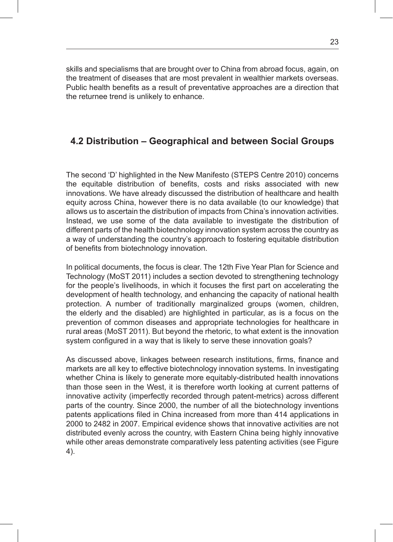skills and specialisms that are brought over to China from abroad focus, again, on the treatment of diseases that are most prevalent in wealthier markets overseas. Public health benefits as a result of preventative approaches are a direction that the returnee trend is unlikely to enhance.

#### **4.2 Distribution – Geographical and between Social Groups**

The second 'D' highlighted in the New Manifesto (STEPS Centre 2010) concerns the equitable distribution of benefits, costs and risks associated with new innovations. We have already discussed the distribution of healthcare and health equity across China, however there is no data available (to our knowledge) that allows us to ascertain the distribution of impacts from China's innovation activities. Instead, we use some of the data available to investigate the distribution of different parts of the health biotechnology innovation system across the country as a way of understanding the country's approach to fostering equitable distribution of benefits from biotechnology innovation.

In political documents, the focus is clear. The 12th Five Year Plan for Science and Technology (MoST 2011) includes a section devoted to strengthening technology for the people's livelihoods, in which it focuses the first part on accelerating the development of health technology, and enhancing the capacity of national health protection. A number of traditionally marginalized groups (women, children, the elderly and the disabled) are highlighted in particular, as is a focus on the prevention of common diseases and appropriate technologies for healthcare in rural areas (MoST 2011). But beyond the rhetoric, to what extent is the innovation system configured in a way that is likely to serve these innovation goals?

As discussed above, linkages between research institutions, firms, finance and markets are all key to effective biotechnology innovation systems. In investigating whether China is likely to generate more equitably-distributed health innovations than those seen in the West, it is therefore worth looking at current patterns of innovative activity (imperfectly recorded through patent-metrics) across different parts of the country. Since 2000, the number of all the biotechnology inventions patents applications filed in China increased from more than 414 applications in 2000 to 2482 in 2007. Empirical evidence shows that innovative activities are not distributed evenly across the country, with Eastern China being highly innovative while other areas demonstrate comparatively less patenting activities (see Figure 4).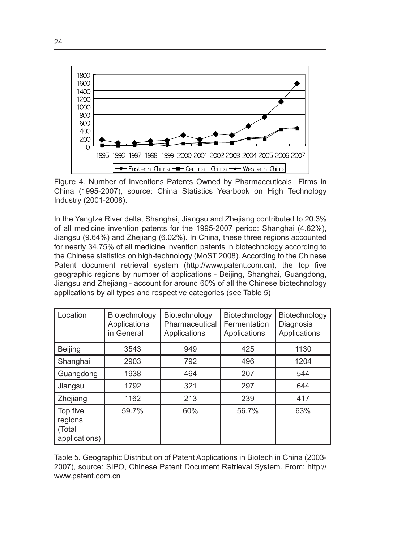

Figure 4. Number of Inventions Patents Owned by Pharmaceuticals Firms in China (1995-2007), source: China Statistics Yearbook on High Technology<br>Industry (2001-2008) Industry (2001-2008).

In the Yangtze River delta, Shanghai, Jiangsu and Zhejiang contributed to 20.3% of all medicine invention patents for the 1995-2007 period: Shanghai (4.62%), Jiangsu (9.64%) and Zhejiang (6.02%). In China, these three regions accounted for nearly 34.75% of all medicine invention patents in biotechnology according to the Chinese statistics on high-technology (MoST 2008). According to the Chinese Patent document retrieval system (http://www.patent.com.cn), the top five geographic regions by number of applications - Beijing, Shanghai, Guangdong, Jiangsu and Zhejiang - account for around 60% of all the Chinese biotechnology applications by all types and respective categories (see Table 5) 4

| Location                                       | Biotechnology<br>Applications<br>in General | Biotechnology<br>Pharmaceutical<br>Applications | Biotechnology<br>Fermentation<br>Applications | Biotechnology<br>Diagnosis<br>Applications |  |
|------------------------------------------------|---------------------------------------------|-------------------------------------------------|-----------------------------------------------|--------------------------------------------|--|
| Beijing                                        | 3543                                        | 949                                             | 425                                           | 1130                                       |  |
| Shanghai<br>2903                               |                                             | 792<br>496                                      |                                               | 1204                                       |  |
| Guangdong<br>1938                              |                                             | 464<br>207                                      |                                               | 544                                        |  |
| 1792<br>Jiangsu                                |                                             | 321                                             | 297                                           | 644                                        |  |
| Zhejiang                                       | 1162                                        | 213                                             | 239                                           | 417                                        |  |
| Top five<br>regions<br>(Total<br>applications) | 59.7%                                       | 60%                                             | 56.7%                                         | 63%                                        |  |

Table 5. Geographic Distribution of Patent Applications in Biotech in China (2003- 2007), source: SIPO, Chinese Patent Document Retrieval System. From: http:// www.patent.com.cn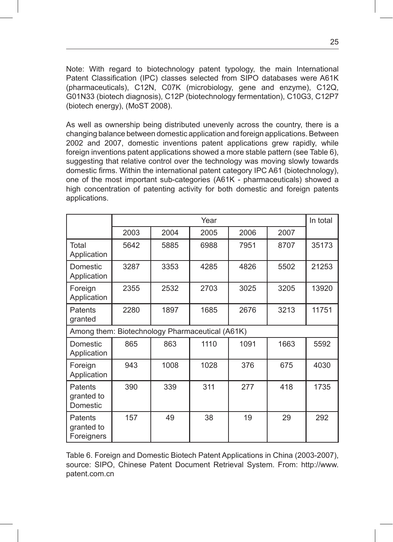Note: With regard to biotechnology patent typology, the main International Patent Classification (IPC) classes selected from SIPO databases were A61K (pharmaceuticals), C12N, C07K (microbiology, gene and enzyme), C12Q, G01N33 (biotech diagnosis), C12P (biotechnology fermentation), C10G3, C12P7 (biotech energy), (MoST 2008).

As well as ownership being distributed unevenly across the country, there is a changing balance between domestic application and foreign applications. Between 2002 and 2007, domestic inventions patent applications grew rapidly, while foreign inventions patent applications showed a more stable pattern (see Table 6), suggesting that relative control over the technology was moving slowly towards domestic firms. Within the international patent category IPC A61 (biotechnology), one of the most important sub-categories (A61K - pharmaceuticals) showed a high concentration of patenting activity for both domestic and foreign patents applications.

|                                                 | Year |      |      |      |      | In total |
|-------------------------------------------------|------|------|------|------|------|----------|
|                                                 | 2003 | 2004 | 2005 | 2006 | 2007 |          |
| Total<br>Application                            | 5642 | 5885 | 6988 | 7951 | 8707 | 35173    |
| Domestic<br>Application                         | 3287 | 3353 | 4285 | 4826 | 5502 | 21253    |
| Foreign<br>Application                          | 2355 | 2532 | 2703 | 3025 | 3205 | 13920    |
| Patents<br>granted                              | 2280 | 1897 | 1685 | 2676 | 3213 | 11751    |
| Among them: Biotechnology Pharmaceutical (A61K) |      |      |      |      |      |          |
| Domestic<br>Application                         | 865  | 863  | 1110 | 1091 | 1663 | 5592     |
| Foreign<br>Application                          | 943  | 1008 | 1028 | 376  | 675  | 4030     |
| Patents<br>granted to<br>Domestic               | 390  | 339  | 311  | 277  | 418  | 1735     |
| Patents<br>granted to<br>Foreigners             | 157  | 49   | 38   | 19   | 29   | 292      |

Table 6. Foreign and Domestic Biotech Patent Applications in China (2003-2007), source: SIPO, Chinese Patent Document Retrieval System. From: http://www. patent.com.cn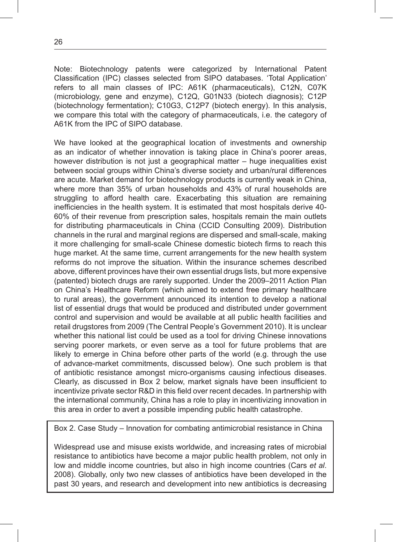Note: Biotechnology patents were categorized by International Patent Classification (IPC) classes selected from SIPO databases. 'Total Application' refers to all main classes of IPC: A61K (pharmaceuticals), C12N, C07K (microbiology, gene and enzyme), C12Q, G01N33 (biotech diagnosis); C12P (biotechnology fermentation); C10G3, C12P7 (biotech energy). In this analysis, we compare this total with the category of pharmaceuticals, i.e. the category of A61K from the IPC of SIPO database.

We have looked at the geographical location of investments and ownership as an indicator of whether innovation is taking place in China's poorer areas, however distribution is not just a geographical matter – huge inequalities exist between social groups within China's diverse society and urban/rural differences are acute. Market demand for biotechnology products is currently weak in China, where more than 35% of urban households and 43% of rural households are struggling to afford health care. Exacerbating this situation are remaining inefficiencies in the health system. It is estimated that most hospitals derive 40- 60% of their revenue from prescription sales, hospitals remain the main outlets for distributing pharmaceuticals in China (CCID Consulting 2009). Distribution channels in the rural and marginal regions are dispersed and small-scale, making it more challenging for small-scale Chinese domestic biotech firms to reach this huge market. At the same time, current arrangements for the new health system reforms do not improve the situation. Within the insurance schemes described above, different provinces have their own essential drugs lists, but more expensive (patented) biotech drugs are rarely supported. Under the 2009–2011 Action Plan on China's Healthcare Reform (which aimed to extend free primary healthcare to rural areas), the government announced its intention to develop a national list of essential drugs that would be produced and distributed under government control and supervision and would be available at all public health facilities and retail drugstores from 2009 (The Central People's Government 2010). It is unclear whether this national list could be used as a tool for driving Chinese innovations serving poorer markets, or even serve as a tool for future problems that are likely to emerge in China before other parts of the world (e.g. through the use of advance-market commitments, discussed below). One such problem is that of antibiotic resistance amongst micro-organisms causing infectious diseases. Clearly, as discussed in Box 2 below, market signals have been insufficient to incentivize private sector R&D in this field over recent decades. In partnership with the international community, China has a role to play in incentivizing innovation in this area in order to avert a possible impending public health catastrophe.

Box 2. Case Study – Innovation for combating antimicrobial resistance in China

Widespread use and misuse exists worldwide, and increasing rates of microbial resistance to antibiotics have become a major public health problem, not only in low and middle income countries, but also in high income countries (Cars *et al*. 2008). Globally, only two new classes of antibiotics have been developed in the past 30 years, and research and development into new antibiotics is decreasing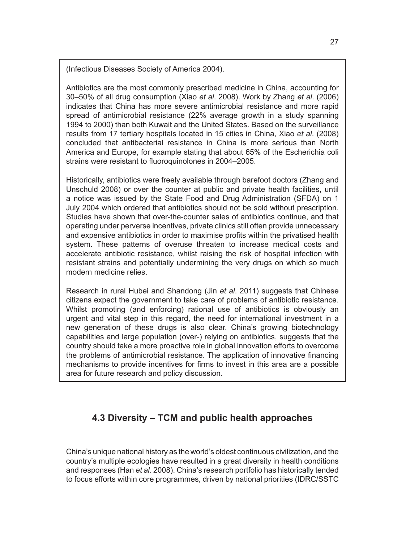(Infectious Diseases Society of America 2004).

Antibiotics are the most commonly prescribed medicine in China, accounting for 30–50% of all drug consumption (Xiao *et al*. 2008). Work by Zhang *et al*. (2006) indicates that China has more severe antimicrobial resistance and more rapid spread of antimicrobial resistance (22% average growth in a study spanning 1994 to 2000) than both Kuwait and the United States. Based on the surveillance results from 17 tertiary hospitals located in 15 cities in China, Xiao *et al*. (2008) concluded that antibacterial resistance in China is more serious than North America and Europe, for example stating that about 65% of the Escherichia coli strains were resistant to fluoroquinolones in 2004–2005.

Historically, antibiotics were freely available through barefoot doctors (Zhang and Unschuld 2008) or over the counter at public and private health facilities, until a notice was issued by the State Food and Drug Administration (SFDA) on 1 July 2004 which ordered that antibiotics should not be sold without prescription. Studies have shown that over-the-counter sales of antibiotics continue, and that operating under perverse incentives, private clinics still often provide unnecessary and expensive antibiotics in order to maximise profits within the privatised health system. These patterns of overuse threaten to increase medical costs and accelerate antibiotic resistance, whilst raising the risk of hospital infection with resistant strains and potentially undermining the very drugs on which so much modern medicine relies.

Research in rural Hubei and Shandong (Jin *et al*. 2011) suggests that Chinese citizens expect the government to take care of problems of antibiotic resistance. Whilst promoting (and enforcing) rational use of antibiotics is obviously an urgent and vital step in this regard, the need for international investment in a new generation of these drugs is also clear. China's growing biotechnology capabilities and large population (over-) relying on antibiotics, suggests that the country should take a more proactive role in global innovation efforts to overcome the problems of antimicrobial resistance. The application of innovative financing mechanisms to provide incentives for firms to invest in this area are a possible area for future research and policy discussion.

## **4.3 Diversity – TCM and public health approaches**

China's unique national history as the world's oldest continuous civilization, and the country's multiple ecologies have resulted in a great diversity in health conditions and responses (Han *et al*. 2008). China's research portfolio has historically tended to focus efforts within core programmes, driven by national priorities (IDRC/SSTC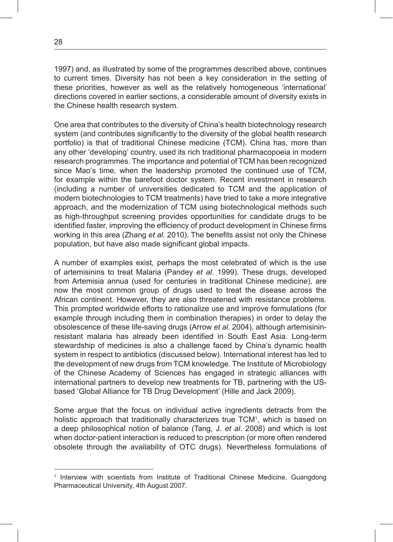1997) and, as illustrated by some of the programmes described above, continues to current times. Diversity has not been a key consideration in the setting of these priorities, however as well as the relatively homogeneous 'international' directions covered in earlier sections, a considerable amount of diversity exists in the Chinese health research system.

One area that contributes to the diversity of China's health biotechnology research system (and contributes significantly to the diversity of the global health research portfolio) is that of traditional Chinese medicine (TCM). China has, more than any other 'developing' country, used its rich traditional pharmacopoeia in modern research programmes. The importance and potential of TCM has been recognized since Mao's time, when the leadership promoted the continued use of TCM, for example within the barefoot doctor system. Recent investment in research (including a number of universities dedicated to TCM and the application of modern biotechnologies to TCM treatments) have tried to take a more integrative approach, and the modernization of TCM using biotechnological methods such as high-throughput screening provides opportunities for candidate drugs to be identified faster, improving the efficiency of product development in Chinese firms working in this area (Zhang *et al*. 2010). The benefits assist not only the Chinese population, but have also made significant global impacts.

A number of examples exist, perhaps the most celebrated of which is the use of artemisinins to treat Malaria (Pandey *et al*. 1999). These drugs, developed from Artemisia annua (used for centuries in traditional Chinese medicine), are now the most common group of drugs used to treat the disease across the African continent. However, they are also threatened with resistance problems. This prompted worldwide efforts to rationalize use and improve formulations (for example through including them in combination therapies) in order to delay the obsolescence of these life-saving drugs (Arrow *et al*. 2004), although artemisininresistant malaria has already been identified in South East Asia. Long-term stewardship of medicines is also a challenge faced by China's dynamic health system in respect to antibiotics (discussed below). International interest has led to the development of new drugs from TCM knowledge. The Institute of Microbiology of the Chinese Academy of Sciences has engaged in strategic alliances with international partners to develop new treatments for TB, partnering with the USbased 'Global Alliance for TB Drug Development' (Hille and Jack 2009).

Some argue that the focus on individual active ingredients detracts from the holistic approach that traditionally characterizes true TCM<sup>1</sup>, which is based on a deep philosophical notion of balance (Tang, J. *et al*. 2008) and which is lost when doctor-patient interaction is reduced to prescription (or more often rendered obsolete through the availability of OTC drugs). Nevertheless formulations of

<sup>1</sup> Interview with scientists from Institute of Traditional Chinese Medicine, Guangdong Pharmaceutical University, 4th August 2007.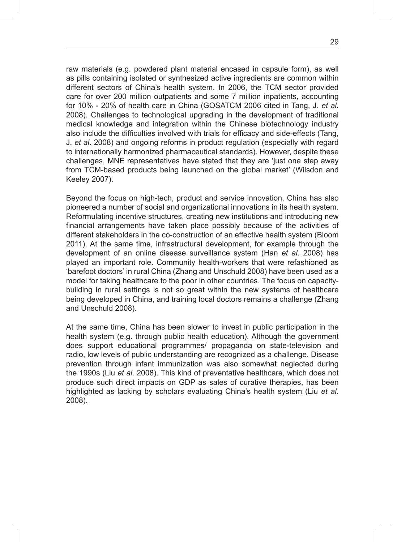raw materials (e.g. powdered plant material encased in capsule form), as well as pills containing isolated or synthesized active ingredients are common within different sectors of China's health system. In 2006, the TCM sector provided care for over 200 million outpatients and some 7 million inpatients, accounting for 10% - 20% of health care in China (GOSATCM 2006 cited in Tang, J. *et al*. 2008). Challenges to technological upgrading in the development of traditional medical knowledge and integration within the Chinese biotechnology industry also include the difficulties involved with trials for efficacy and side-effects (Tang, J. *et al*. 2008) and ongoing reforms in product regulation (especially with regard to internationally harmonized pharmaceutical standards). However, despite these challenges, MNE representatives have stated that they are 'just one step away from TCM-based products being launched on the global market' (Wilsdon and Keeley 2007).

Beyond the focus on high-tech, product and service innovation, China has also pioneered a number of social and organizational innovations in its health system. Reformulating incentive structures, creating new institutions and introducing new financial arrangements have taken place possibly because of the activities of different stakeholders in the co-construction of an effective health system (Bloom 2011). At the same time, infrastructural development, for example through the development of an online disease surveillance system (Han *et al*. 2008) has played an important role. Community health-workers that were refashioned as 'barefoot doctors' in rural China (Zhang and Unschuld 2008) have been used as a model for taking healthcare to the poor in other countries. The focus on capacitybuilding in rural settings is not so great within the new systems of healthcare being developed in China, and training local doctors remains a challenge (Zhang and Unschuld 2008).

At the same time, China has been slower to invest in public participation in the health system (e.g. through public health education). Although the government does support educational programmes/ propaganda on state-television and radio, low levels of public understanding are recognized as a challenge. Disease prevention through infant immunization was also somewhat neglected during the 1990s (Liu *et al*. 2008). This kind of preventative healthcare, which does not produce such direct impacts on GDP as sales of curative therapies, has been highlighted as lacking by scholars evaluating China's health system (Liu *et al*. 2008).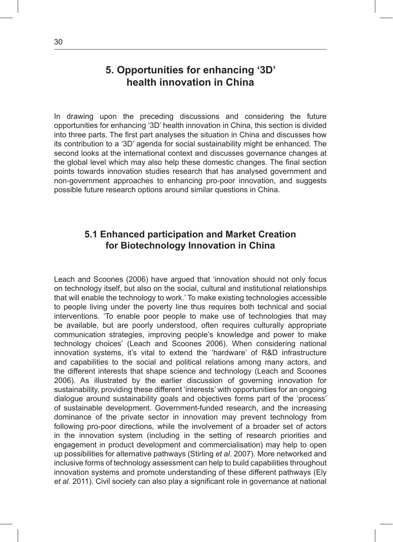# **5. Opportunities for enhancing '3D' health innovation in China**

In drawing upon the preceding discussions and considering the future opportunities for enhancing '3D' health innovation in China, this section is divided into three parts. The first part analyses the situation in China and discusses how its contribution to a '3D' agenda for social sustainability might be enhanced. The second looks at the international context and discusses governance changes at the global level which may also help these domestic changes. The final section points towards innovation studies research that has analysed government and non-government approaches to enhancing pro-poor innovation, and suggests possible future research options around similar questions in China.

#### **5.1 Enhanced participation and Market Creation for Biotechnology Innovation in China**

Leach and Scoones (2006) have argued that 'innovation should not only focus on technology itself, but also on the social, cultural and institutional relationships that will enable the technology to work.' To make existing technologies accessible to people living under the poverty line thus requires both technical and social interventions. 'To enable poor people to make use of technologies that may be available, but are poorly understood, often requires culturally appropriate communication strategies, improving people's knowledge and power to make technology choices' (Leach and Scoones 2006). When considering national innovation systems, it's vital to extend the 'hardware' of R&D infrastructure and capabilities to the social and political relations among many actors, and the different interests that shape science and technology (Leach and Scoones 2006). As illustrated by the earlier discussion of governing innovation for sustainability, providing these different 'interests' with opportunities for an ongoing dialogue around sustainability goals and objectives forms part of the 'process' of sustainable development. Government-funded research, and the increasing dominance of the private sector in innovation may prevent technology from following pro-poor directions, while the involvement of a broader set of actors in the innovation system (including in the setting of research priorities and engagement in product development and commercialisation) may help to open up possibilities for alternative pathways (Stirling *et al*. 2007). More networked and inclusive forms of technology assessment can help to build capabilities throughout innovation systems and promote understanding of these different pathways (Ely *et al*. 2011). Civil society can also play a significant role in governance at national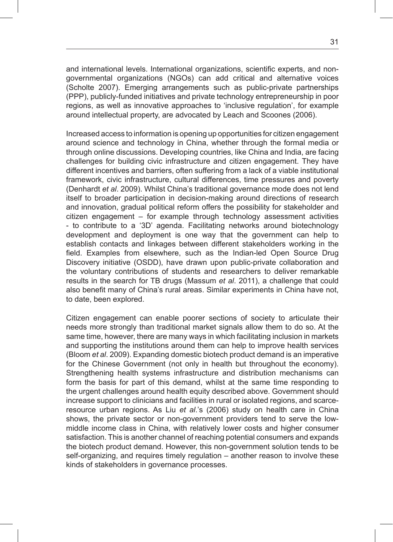and international levels. International organizations, scientific experts, and nongovernmental organizations (NGOs) can add critical and alternative voices (Scholte 2007). Emerging arrangements such as public-private partnerships (PPP), publicly-funded initiatives and private technology entrepreneurship in poor regions, as well as innovative approaches to 'inclusive regulation', for example around intellectual property, are advocated by Leach and Scoones (2006).

Increased access to information is opening up opportunities for citizen engagement around science and technology in China, whether through the formal media or through online discussions. Developing countries, like China and India, are facing challenges for building civic infrastructure and citizen engagement. They have different incentives and barriers, often suffering from a lack of a viable institutional framework, civic infrastructure, cultural differences, time pressures and poverty (Denhardt *et al*. 2009). Whilst China's traditional governance mode does not lend itself to broader participation in decision-making around directions of research and innovation, gradual political reform offers the possibility for stakeholder and citizen engagement – for example through technology assessment activities - to contribute to a '3D' agenda. Facilitating networks around biotechnology development and deployment is one way that the government can help to establish contacts and linkages between different stakeholders working in the field. Examples from elsewhere, such as the Indian-led Open Source Drug Discovery initiative (OSDD), have drawn upon public-private collaboration and the voluntary contributions of students and researchers to deliver remarkable results in the search for TB drugs (Massum *et al*. 2011), a challenge that could also benefit many of China's rural areas. Similar experiments in China have not, to date, been explored.

Citizen engagement can enable poorer sections of society to articulate their needs more strongly than traditional market signals allow them to do so. At the same time, however, there are many ways in which facilitating inclusion in markets and supporting the institutions around them can help to improve health services (Bloom *et al*. 2009). Expanding domestic biotech product demand is an imperative for the Chinese Government (not only in health but throughout the economy). Strengthening health systems infrastructure and distribution mechanisms can form the basis for part of this demand, whilst at the same time responding to the urgent challenges around health equity described above. Government should increase support to clinicians and facilities in rural or isolated regions, and scarceresource urban regions. As Liu *et al*.'s (2006) study on health care in China shows, the private sector or non-government providers tend to serve the lowmiddle income class in China, with relatively lower costs and higher consumer satisfaction. This is another channel of reaching potential consumers and expands the biotech product demand. However, this non-government solution tends to be self-organizing, and requires timely regulation – another reason to involve these kinds of stakeholders in governance processes.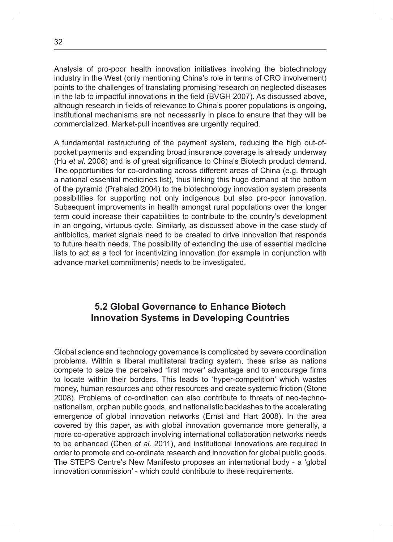Analysis of pro-poor health innovation initiatives involving the biotechnology industry in the West (only mentioning China's role in terms of CRO involvement) points to the challenges of translating promising research on neglected diseases in the lab to impactful innovations in the field (BVGH 2007). As discussed above, although research in fields of relevance to China's poorer populations is ongoing, institutional mechanisms are not necessarily in place to ensure that they will be commercialized. Market-pull incentives are urgently required.

A fundamental restructuring of the payment system, reducing the high out-ofpocket payments and expanding broad insurance coverage is already underway (Hu *et al*. 2008) and is of great significance to China's Biotech product demand. The opportunities for co-ordinating across different areas of China (e.g. through a national essential medicines list), thus linking this huge demand at the bottom of the pyramid (Prahalad 2004) to the biotechnology innovation system presents possibilities for supporting not only indigenous but also pro-poor innovation. Subsequent improvements in health amongst rural populations over the longer term could increase their capabilities to contribute to the country's development in an ongoing, virtuous cycle. Similarly, as discussed above in the case study of antibiotics, market signals need to be created to drive innovation that responds to future health needs. The possibility of extending the use of essential medicine lists to act as a tool for incentivizing innovation (for example in conjunction with advance market commitments) needs to be investigated.

#### **5.2 Global Governance to Enhance Biotech Innovation Systems in Developing Countries**

Global science and technology governance is complicated by severe coordination problems. Within a liberal multilateral trading system, these arise as nations compete to seize the perceived 'first mover' advantage and to encourage firms to locate within their borders. This leads to 'hyper-competition' which wastes money, human resources and other resources and create systemic friction (Stone 2008). Problems of co-ordination can also contribute to threats of neo-technonationalism, orphan public goods, and nationalistic backlashes to the accelerating emergence of global innovation networks (Ernst and Hart 2008). In the area covered by this paper, as with global innovation governance more generally, a more co-operative approach involving international collaboration networks needs to be enhanced (Chen *et al*. 2011), and institutional innovations are required in order to promote and co-ordinate research and innovation for global public goods. The STEPS Centre's New Manifesto proposes an international body - a 'global innovation commission' - which could contribute to these requirements.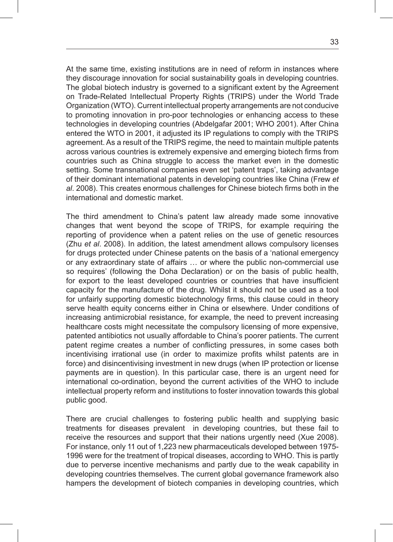At the same time, existing institutions are in need of reform in instances where they discourage innovation for social sustainability goals in developing countries. The global biotech industry is governed to a significant extent by the Agreement on Trade-Related Intellectual Property Rights (TRIPS) under the World Trade Organization (WTO). Current intellectual property arrangements are not conducive to promoting innovation in pro-poor technologies or enhancing access to these technologies in developing countries (Abdelgafar 2001; WHO 2001). After China entered the WTO in 2001, it adjusted its IP regulations to comply with the TRIPS agreement. As a result of the TRIPS regime, the need to maintain multiple patents across various countries is extremely expensive and emerging biotech firms from countries such as China struggle to access the market even in the domestic setting. Some transnational companies even set 'patent traps', taking advantage of their dominant international patents in developing countries like China (Frew *et al*. 2008). This creates enormous challenges for Chinese biotech firms both in the international and domestic market.

The third amendment to China's patent law already made some innovative changes that went beyond the scope of TRIPS, for example requiring the reporting of providence when a patent relies on the use of genetic resources (Zhu *et al*. 2008). In addition, the latest amendment allows compulsory licenses for drugs protected under Chinese patents on the basis of a 'national emergency or any extraordinary state of affairs … or where the public non-commercial use so requires' (following the Doha Declaration) or on the basis of public health, for export to the least developed countries or countries that have insufficient capacity for the manufacture of the drug. Whilst it should not be used as a tool for unfairly supporting domestic biotechnology firms, this clause could in theory serve health equity concerns either in China or elsewhere. Under conditions of increasing antimicrobial resistance, for example, the need to prevent increasing healthcare costs might necessitate the compulsory licensing of more expensive, patented antibiotics not usually affordable to China's poorer patients. The current patent regime creates a number of conflicting pressures, in some cases both incentivising irrational use (in order to maximize profits whilst patents are in force) and disincentivising investment in new drugs (when IP protection or license payments are in question). In this particular case, there is an urgent need for international co-ordination, beyond the current activities of the WHO to include intellectual property reform and institutions to foster innovation towards this global public good.

There are crucial challenges to fostering public health and supplying basic treatments for diseases prevalent in developing countries, but these fail to receive the resources and support that their nations urgently need (Xue 2008). For instance, only 11 out of 1,223 new pharmaceuticals developed between 1975- 1996 were for the treatment of tropical diseases, according to WHO. This is partly due to perverse incentive mechanisms and partly due to the weak capability in developing countries themselves. The current global governance framework also hampers the development of biotech companies in developing countries, which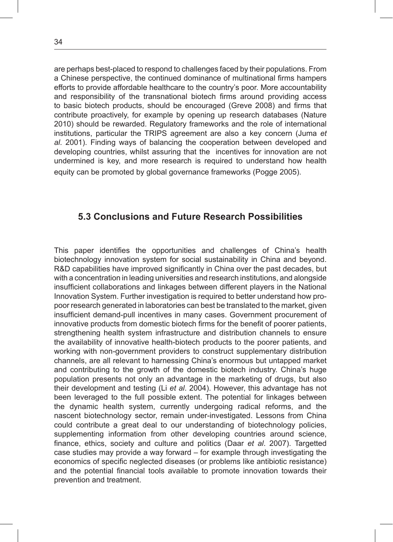are perhaps best-placed to respond to challenges faced by their populations. From a Chinese perspective, the continued dominance of multinational firms hampers efforts to provide affordable healthcare to the country's poor. More accountability and responsibility of the transnational biotech firms around providing access to basic biotech products, should be encouraged (Greve 2008) and firms that contribute proactively, for example by opening up research databases (Nature 2010) should be rewarded. Regulatory frameworks and the role of international institutions, particular the TRIPS agreement are also a key concern (Juma *et al*. 2001). Finding ways of balancing the cooperation between developed and developing countries, whilst assuring that the incentives for innovation are not undermined is key, and more research is required to understand how health equity can be promoted by global governance frameworks (Pogge 2005).

#### **5.3 Conclusions and Future Research Possibilities**

This paper identifies the opportunities and challenges of China's health biotechnology innovation system for social sustainability in China and beyond. R&D capabilities have improved significantly in China over the past decades, but with a concentration in leading universities and research institutions, and alongside insufficient collaborations and linkages between different players in the National Innovation System. Further investigation is required to better understand how propoor research generated in laboratories can best be translated to the market, given insufficient demand-pull incentives in many cases. Government procurement of innovative products from domestic biotech firms for the benefit of poorer patients, strengthening health system infrastructure and distribution channels to ensure the availability of innovative health-biotech products to the poorer patients, and working with non-government providers to construct supplementary distribution channels, are all relevant to harnessing China's enormous but untapped market and contributing to the growth of the domestic biotech industry. China's huge population presents not only an advantage in the marketing of drugs, but also their development and testing (Li *et al*. 2004). However, this advantage has not been leveraged to the full possible extent. The potential for linkages between the dynamic health system, currently undergoing radical reforms, and the nascent biotechnology sector, remain under-investigated. Lessons from China could contribute a great deal to our understanding of biotechnology policies, supplementing information from other developing countries around science, finance, ethics, society and culture and politics (Daar *et al*. 2007). Targetted case studies may provide a way forward – for example through investigating the economics of specific neglected diseases (or problems like antibiotic resistance) and the potential financial tools available to promote innovation towards their prevention and treatment.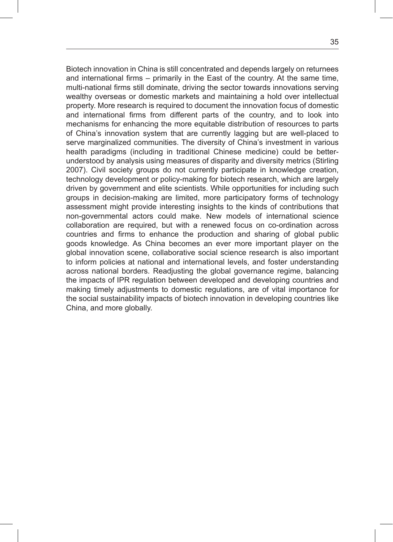Biotech innovation in China is still concentrated and depends largely on returnees and international firms – primarily in the East of the country. At the same time, multi-national firms still dominate, driving the sector towards innovations serving wealthy overseas or domestic markets and maintaining a hold over intellectual property. More research is required to document the innovation focus of domestic and international firms from different parts of the country, and to look into mechanisms for enhancing the more equitable distribution of resources to parts of China's innovation system that are currently lagging but are well-placed to serve marginalized communities. The diversity of China's investment in various health paradigms (including in traditional Chinese medicine) could be betterunderstood by analysis using measures of disparity and diversity metrics (Stirling 2007). Civil society groups do not currently participate in knowledge creation, technology development or policy-making for biotech research, which are largely driven by government and elite scientists. While opportunities for including such groups in decision-making are limited, more participatory forms of technology assessment might provide interesting insights to the kinds of contributions that non-governmental actors could make. New models of international science collaboration are required, but with a renewed focus on co-ordination across countries and firms to enhance the production and sharing of global public goods knowledge. As China becomes an ever more important player on the global innovation scene, collaborative social science research is also important to inform policies at national and international levels, and foster understanding across national borders. Readjusting the global governance regime, balancing the impacts of IPR regulation between developed and developing countries and making timely adjustments to domestic regulations, are of vital importance for the social sustainability impacts of biotech innovation in developing countries like China, and more globally.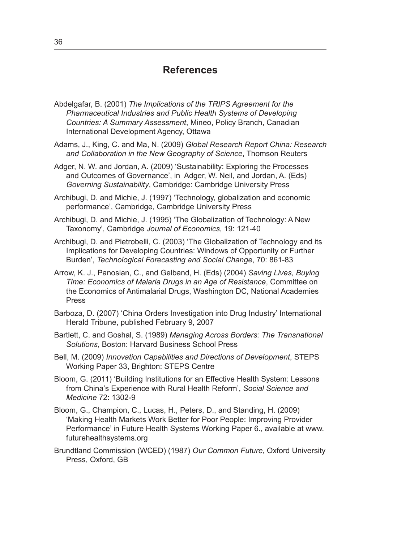### **References**

- Abdelgafar, B. (2001) *The Implications of the TRIPS Agreement for the Pharmaceutical Industries and Public Health Systems of Developing Countries: A Summary Assessment*, Mineo, Policy Branch, Canadian International Development Agency, Ottawa
- Adams, J., King, C. and Ma, N. (2009) *Global Research Report China: Research and Collaboration in the New Geography of Science*, Thomson Reuters
- Adger, N. W. and Jordan, A. (2009) 'Sustainability: Exploring the Processes and Outcomes of Governance', in Adger, W. Neil, and Jordan, A. (Eds) *Governing Sustainability*, Cambridge: Cambridge University Press
- Archibugi, D. and Michie, J. (1997) 'Technology, globalization and economic performance', Cambridge, Cambridge University Press
- Archibugi, D. and Michie, J. (1995) 'The Globalization of Technology: A New Taxonomy', Cambridge *Journal of Economics*, 19: 121-40
- Archibugi, D. and Pietrobelli, C. (2003) 'The Globalization of Technology and its Implications for Developing Countries: Windows of Opportunity or Further Burden', *Technological Forecasting and Social Change*, 70: 861-83
- Arrow, K. J., Panosian, C., and Gelband, H. (Eds) (2004) *Saving Lives, Buying Time: Economics of Malaria Drugs in an Age of Resistance*, Committee on the Economics of Antimalarial Drugs, Washington DC, National Academies Press
- Barboza, D. (2007) 'China Orders Investigation into Drug Industry' International Herald Tribune, published February 9, 2007
- Bartlett, C. and Goshal, S. (1989) *Managing Across Borders: The Transnational Solutions*, Boston: Harvard Business School Press
- Bell, M. (2009) *Innovation Capabilities and Directions of Development*, STEPS Working Paper 33, Brighton: STEPS Centre
- Bloom, G. (2011) 'Building Institutions for an Effective Health System: Lessons from China's Experience with Rural Health Reform', *Social Science and Medicine* 72: 1302-9
- Bloom, G., Champion, C., Lucas, H., Peters, D., and Standing, H. (2009) 'Making Health Markets Work Better for Poor People: Improving Provider Performance' in Future Health Systems Working Paper 6., available at www. futurehealthsystems.org
- Brundtland Commission (WCED) (1987) *Our Common Future*, Oxford University Press, Oxford, GB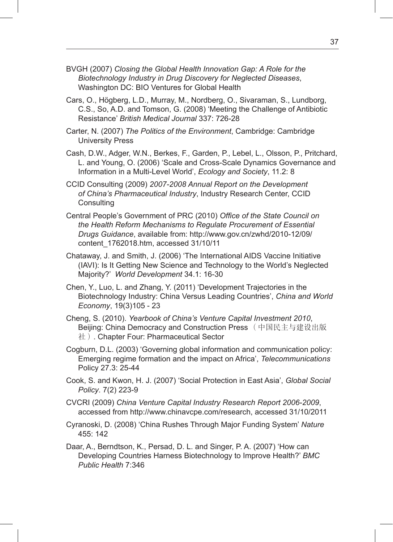- BVGH (2007) *Closing the Global Health Innovation Gap: A Role for the Biotechnology Industry in Drug Discovery for Neglected Diseases*, Washington DC: BIO Ventures for Global Health
- Cars, O., Högberg, L.D., Murray, M., Nordberg, O., Sivaraman, S., Lundborg, C.S., So, A.D. and Tomson, G. (2008) 'Meeting the Challenge of Antibiotic Resistance' *British Medical Journal* 337: 726-28
- Carter, N. (2007) *The Politics of the Environment*, Cambridge: Cambridge University Press
- Cash, D.W., Adger, W.N., Berkes, F., Garden, P., Lebel, L., Olsson, P., Pritchard, L. and Young, O. (2006) 'Scale and Cross-Scale Dynamics Governance and Information in a Multi-Level World', *Ecology and Society*, 11.2: 8
- CCID Consulting (2009) *2007-2008 Annual Report on the Development of China's Pharmaceutical Industry*, Industry Research Center, CCID **Consulting**
- Central People's Government of PRC (2010) *Office of the State Council on the Health Reform Mechanisms to Regulate Procurement of Essential Drugs Guidance*, available from: http://www.gov.cn/zwhd/2010-12/09/ content\_1762018.htm, accessed 31/10/11
- Chataway, J. and Smith, J. (2006) 'The International AIDS Vaccine Initiative (IAVI): Is It Getting New Science and Technology to the World's Neglected Majority?' *World Development* 34.1: 16-30
- Chen, Y., Luo, L. and Zhang, Y. (2011) 'Development Trajectories in the Biotechnology Industry: China Versus Leading Countries', *China and World Economy*, 19(3)105 - 23
- Cheng, S. (2010). *Yearbook of China's Venture Capital Investment 2010*, Beijing: China Democracy and Construction Press (中国民主与建设出版 社). Chapter Four: Pharmaceutical Sector
- Cogburn, D.L. (2003) 'Governing global information and communication policy: Emerging regime formation and the impact on Africa', *Telecommunications* Policy 27.3: 25-44
- Cook, S. and Kwon, H. J. (2007) 'Social Protection in East Asia', *Global Social Policy*. 7(2) 223-9
- CVCRI (2009) *China Venture Capital Industry Research Report 2006-2009*, accessed from http://www.chinavcpe.com/research, accessed 31/10/2011
- Cyranoski, D. (2008) 'China Rushes Through Major Funding System' *Nature* 455: 142
- Daar, A., Berndtson, K., Persad, D. L. and Singer, P. A. (2007) 'How can Developing Countries Harness Biotechnology to Improve Health?' *BMC Public Health* 7:346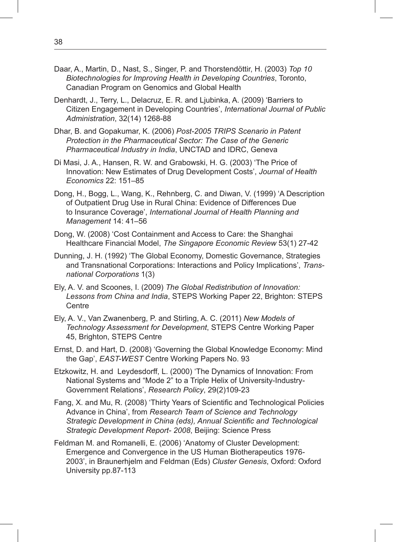- Daar, A., Martin, D., Nast, S., Singer, P. and Thorstendöttir, H. (2003) *Top 10 Biotechnologies for Improving Health in Developing Countries*, Toronto, Canadian Program on Genomics and Global Health
- Denhardt, J., Terry, L., Delacruz, E. R. and Ljubinka, A. (2009) 'Barriers to Citizen Engagement in Developing Countries', *International Journal of Public Administration*, 32(14) 1268-88
- Dhar, B. and Gopakumar, K. (2006) *Post-2005 TRIPS Scenario in Patent Protection in the Pharmaceutical Sector: The Case of the Generic Pharmaceutical Industry in India*, UNCTAD and IDRC, Geneva
- Di Masi, J. A., Hansen, R. W. and Grabowski, H. G. (2003) 'The Price of Innovation: New Estimates of Drug Development Costs', *Journal of Health Economics* 22: 151–85
- Dong, H., Bogg, L., Wang, K., Rehnberg, C. and Diwan, V. (1999) 'A Description of Outpatient Drug Use in Rural China: Evidence of Differences Due to Insurance Coverage', *International Journal of Health Planning and Management* 14: 41–56
- Dong, W. (2008) 'Cost Containment and Access to Care: the Shanghai Healthcare Financial Model, *The Singapore Economic Review* 53(1) 27-42
- Dunning, J. H. (1992) 'The Global Economy, Domestic Governance, Strategies and Transnational Corporations: Interactions and Policy Implications', *Transnational Corporations* 1(3)
- Ely, A. V. and Scoones, I. (2009) *The Global Redistribution of Innovation: Lessons from China and India*, STEPS Working Paper 22, Brighton: STEPS **Centre**
- Ely, A. V., Van Zwanenberg, P. and Stirling, A. C. (2011) *New Models of Technology Assessment for Development*, STEPS Centre Working Paper 45, Brighton, STEPS Centre
- Ernst, D. and Hart, D. (2008) 'Governing the Global Knowledge Economy: Mind the Gap', *EAST-WEST* Centre Working Papers No. 93
- Etzkowitz, H. and Leydesdorff, L. (2000) 'The Dynamics of Innovation: From National Systems and "Mode 2" to a Triple Helix of University-Industry-Government Relations', *Research Policy*, 29(2)109-23
- Fang, X. and Mu, R. (2008) 'Thirty Years of Scientific and Technological Policies Advance in China', from *Research Team of Science and Technology Strategic Development in China (eds), Annual Scientific and Technological Strategic Development Report- 2008*, Beijing: Science Press
- Feldman M. and Romanelli, E. (2006) 'Anatomy of Cluster Development: Emergence and Convergence in the US Human Biotherapeutics 1976- 2003', in Braunerhjelm and Feldman (Eds) *Cluster Genesis*, Oxford: Oxford University pp.87-113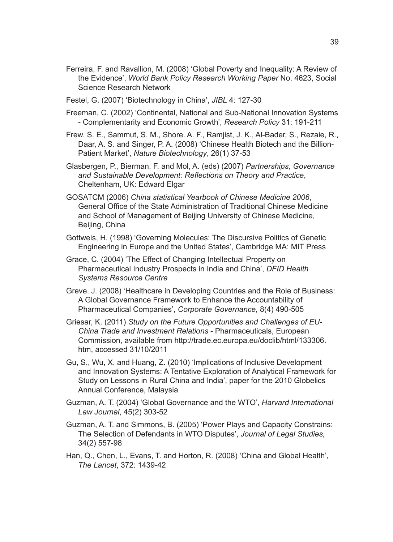- Ferreira, F. and Ravallion, M. (2008) 'Global Poverty and Inequality: A Review of the Evidence', *World Bank Policy Research Working Paper* No. 4623, Social Science Research Network
- Festel, G. (2007) 'Biotechnology in China', *JIBL* 4: 127-30
- Freeman, C. (2002) 'Continental, National and Sub-National Innovation Systems - Complementarity and Economic Growth', *Research Policy* 31: 191-211
- Frew. S. E., Sammut, S. M., Shore. A. F., Ramjist, J. K., Al-Bader, S., Rezaie, R., Daar, A. S. and Singer, P. A. (2008) 'Chinese Health Biotech and the Billion-Patient Market', *Nature Biotechnology*, 26(1) 37-53
- Glasbergen, P., Bierman, F. and Mol, A. (eds) (2007) *Partnerships, Governance and Sustainable Development: Reflections on Theory and Practice*, Cheltenham, UK: Edward Elgar
- GOSATCM (2006) *China statistical Yearbook of Chinese Medicine 2006*, General Office of the State Administration of Traditional Chinese Medicine and School of Management of Beijing University of Chinese Medicine, Beijing, China
- Gottweis, H. (1998) 'Governing Molecules: The Discursive Politics of Genetic Engineering in Europe and the United States', Cambridge MA: MIT Press
- Grace, C. (2004) 'The Effect of Changing Intellectual Property on Pharmaceutical Industry Prospects in India and China', *DFID Health Systems Resource Centre*
- Greve. J. (2008) 'Healthcare in Developing Countries and the Role of Business: A Global Governance Framework to Enhance the Accountability of Pharmaceutical Companies', *Corporate Governance*, 8(4) 490-505
- Griesar, K. (2011) *Study on the Future Opportunities and Challenges of EU-China Trade and Investment Relations* - Pharmaceuticals, European Commission, available from http://trade.ec.europa.eu/doclib/html/133306. htm, accessed 31/10/2011
- Gu, S., Wu, X. and Huang, Z. (2010) 'Implications of Inclusive Development and Innovation Systems: A Tentative Exploration of Analytical Framework for Study on Lessons in Rural China and India', paper for the 2010 Globelics Annual Conference, Malaysia
- Guzman, A. T. (2004) 'Global Governance and the WTO', *Harvard International Law Journal*, 45(2) 303-52
- Guzman, A. T. and Simmons, B. (2005) 'Power Plays and Capacity Constrains: The Selection of Defendants in WTO Disputes', *Journal of Legal Studies,* 34(2) 557-98
- Han, Q., Chen, L., Evans, T. and Horton, R. (2008) 'China and Global Health', *The Lancet*, 372: 1439-42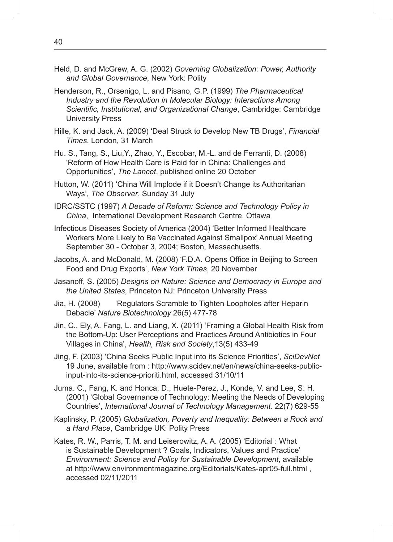- Held, D. and McGrew, A. G. (2002) *Governing Globalization: Power, Authority and Global Governance*, New York: Polity
- Henderson, R., Orsenigo, L. and Pisano, G.P. (1999) *The Pharmaceutical Industry and the Revolution in Molecular Biology: Interactions Among Scientific, Institutional, and Organizational Change*, Cambridge: Cambridge University Press
- Hille, K. and Jack, A. (2009) 'Deal Struck to Develop New TB Drugs', *Financial Times*, London, 31 March
- Hu. S., Tang, S., Liu,Y., Zhao, Y., Escobar, M.-L. and de Ferranti, D. (2008) 'Reform of How Health Care is Paid for in China: Challenges and Opportunities', *The Lancet*, published online 20 October
- Hutton, W. (2011) 'China Will Implode if it Doesn't Change its Authoritarian Ways', *The Observer*, Sunday 31 July
- IDRC/SSTC (1997) *A Decade of Reform: Science and Technology Policy in China*, International Development Research Centre, Ottawa
- Infectious Diseases Society of America (2004) 'Better Informed Healthcare Workers More Likely to Be Vaccinated Against Smallpox' Annual Meeting September 30 - October 3, 2004; Boston, Massachusetts.
- Jacobs, A. and McDonald, M. (2008) 'F.D.A. Opens Office in Beijing to Screen Food and Drug Exports', *New York Times*, 20 November
- Jasanoff, S. (2005) *Designs on Nature: Science and Democracy in Europe and the United States*, Princeton NJ: Princeton University Press
- Jia, H. (2008) 'Regulators Scramble to Tighten Loopholes after Heparin Debacle' *Nature Biotechnology* 26(5) 477-78
- Jin, C., Ely, A. Fang, L. and Liang, X. (2011) 'Framing a Global Health Risk from the Bottom-Up: User Perceptions and Practices Around Antibiotics in Four Villages in China', *Health, Risk and Society*,13(5) 433-49
- Jing, F. (2003) 'China Seeks Public Input into its Science Priorities', *SciDevNet* 19 June, available from : http://www.scidev.net/en/news/china-seeks-publicinput-into-its-science-prioriti.html, accessed 31/10/11
- Juma. C., Fang, K. and Honca, D., Huete-Perez, J., Konde, V. and Lee, S. H. (2001) 'Global Governance of Technology: Meeting the Needs of Developing Countries', *International Journal of Technology Management*. 22(7) 629-55
- Kaplinsky, P. (2005) *Globalization, Poverty and Inequality: Between a Rock and a Hard Place*, Cambridge UK: Polity Press
- Kates, R. W., Parris, T. M. and Leiserowitz, A. A. (2005) 'Editorial : What is Sustainable Development ? Goals, Indicators, Values and Practice' *Environment: Science and Policy for Sustainable Development*, available at http://www.environmentmagazine.org/Editorials/Kates-apr05-full.html , accessed 02/11/2011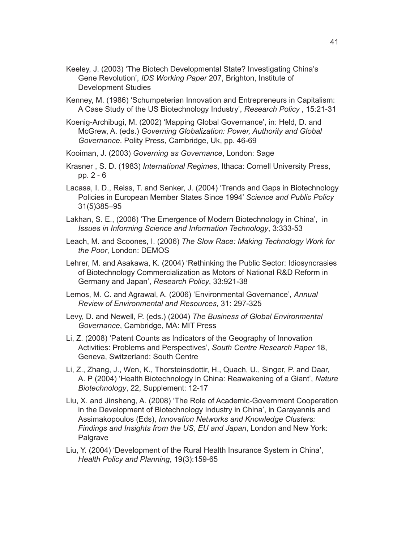- Keeley, J. (2003) 'The Biotech Developmental State? Investigating China's Gene Revolution', *IDS Working Paper* 207, Brighton, Institute of Development Studies
- Kenney, M. (1986) 'Schumpeterian Innovation and Entrepreneurs in Capitalism: A Case Study of the US Biotechnology Industry', *Research Policy* , 15:21-31
- Koenig-Archibugi, M. (2002) 'Mapping Global Governance', in: Held, D. and McGrew, A. (eds.) *Governing Globalization: Power, Authority and Global Governance*. Polity Press, Cambridge, Uk, pp. 46-69
- Kooiman, J. (2003) *Governing as Governance*, London: Sage
- Krasner , S. D. (1983) *International Regimes*, Ithaca: Cornell University Press, pp. 2 - 6
- Lacasa, I. D., Reiss, T. and Senker, J. (2004) 'Trends and Gaps in Biotechnology Policies in European Member States Since 1994' *Science and Public Policy* 31(5)385–95
- Lakhan, S. E., (2006) 'The Emergence of Modern Biotechnology in China', in *Issues in Informing Science and Information Technology*, 3:333-53
- Leach, M. and Scoones, I. (2006) *The Slow Race: Making Technology Work for the Poor*, London: DEMOS

Lehrer, M. and Asakawa, K. (2004) 'Rethinking the Public Sector: Idiosyncrasies of Biotechnology Commercialization as Motors of National R&D Reform in Germany and Japan', *Research Policy*, 33:921-38

- Lemos, M. C. and Agrawal, A. (2006) 'Environmental Governance', *Annual Review of Environmental and Resources*, 31: 297-325
- Levy, D. and Newell, P. (eds.) (2004) *The Business of Global Environmental Governance*, Cambridge, MA: MIT Press
- Li, Z. (2008) 'Patent Counts as Indicators of the Geography of Innovation Activities: Problems and Perspectives', *South Centre Research Paper* 18, Geneva, Switzerland: South Centre
- Li, Z., Zhang, J., Wen, K., Thorsteinsdottir, H., Quach, U., Singer, P. and Daar, A. P (2004) 'Health Biotechnology in China: Reawakening of a Giant', *Nature Biotechnology*, 22, Supplement: 12-17
- Liu, X. and Jinsheng, A. (2008) 'The Role of Academic-Government Cooperation in the Development of Biotechnology Industry in China', in Carayannis and Assimakopoulos (Eds), *Innovation Networks and Knowledge Clusters: Findings and Insights from the US, EU and Japan*, London and New York: Palgrave
- Liu, Y. (2004) 'Development of the Rural Health Insurance System in China', *Health Policy and Planning*, 19(3):159-65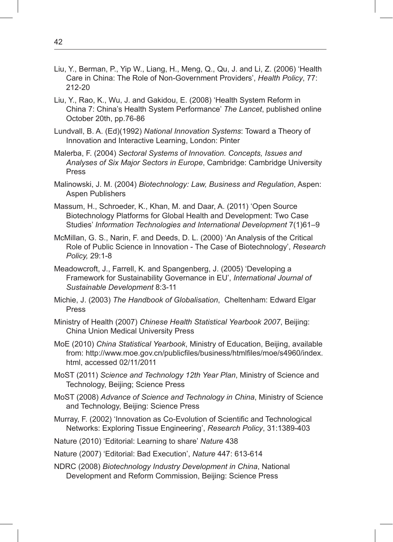- Liu, Y., Berman, P., Yip W., Liang, H., Meng, Q., Qu, J. and Li, Z. (2006) 'Health Care in China: The Role of Non-Government Providers', *Health Policy*, 77: 212-20
- Liu, Y., Rao, K., Wu, J. and Gakidou, E. (2008) 'Health System Reform in China 7: China's Health System Performance' *The Lancet*, published online October 20th, pp.76-86
- Lundvall, B. A. (Ed)(1992) *National Innovation Systems*: Toward a Theory of Innovation and Interactive Learning, London: Pinter
- Malerba, F. (2004) *Sectoral Systems of Innovation. Concepts, Issues and Analyses of Six Major Sectors in Europe*, Cambridge: Cambridge University Press
- Malinowski, J. M. (2004) *Biotechnology: Law, Business and Regulation*, Aspen: Aspen Publishers
- Massum, H., Schroeder, K., Khan, M. and Daar, A. (2011) 'Open Source Biotechnology Platforms for Global Health and Development: Two Case Studies' *Information Technologies and International Development* 7(1)61–9
- McMillan, G. S., Narin, F. and Deeds, D. L. (2000) 'An Analysis of the Critical Role of Public Science in Innovation - The Case of Biotechnology', *Research Policy,* 29:1-8
- Meadowcroft, J., Farrell, K. and Spangenberg, J. (2005) 'Developing a Framework for Sustainability Governance in EU', *International Journal of Sustainable Development* 8:3-11
- Michie, J. (2003) *The Handbook of Globalisation*, Cheltenham: Edward Elgar Press
- Ministry of Health (2007) *Chinese Health Statistical Yearbook 2007*, Beijing: China Union Medical University Press
- MoE (2010) *China Statistical Yearbook*, Ministry of Education, Beijing, available from: http://www.moe.gov.cn/publicfiles/business/htmlfiles/moe/s4960/index. html, accessed 02/11/2011
- MoST (2011) *Science and Technology 12th Year Plan*, Ministry of Science and Technology, Beijing; Science Press
- MoST (2008) *Advance of Science and Technology in China*, Ministry of Science and Technology, Beijing: Science Press
- Murray, F. (2002) 'Innovation as Co-Evolution of Scientific and Technological Networks: Exploring Tissue Engineering', *Research Policy*, 31:1389-403
- Nature (2010) 'Editorial: Learning to share' *Nature* 438
- Nature (2007) 'Editorial: Bad Execution', *Nature* 447: 613-614
- NDRC (2008) *Biotechnology Industry Development in China*, National Development and Reform Commission, Beijing: Science Press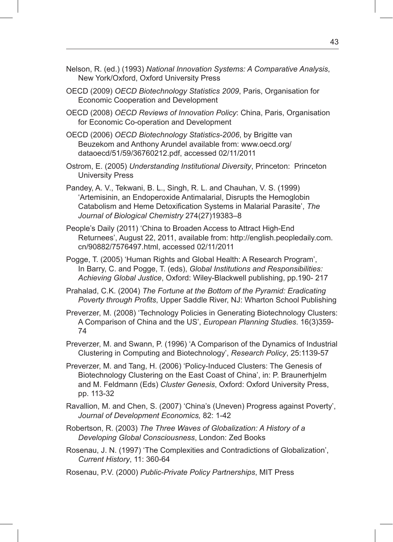- Nelson, R. (ed.) (1993) *National Innovation Systems: A Comparative Analysis*, New York/Oxford, Oxford University Press
- OECD (2009) *OECD Biotechnology Statistics 2009*, Paris, Organisation for Economic Cooperation and Development
- OECD (2008) *OECD Reviews of Innovation Policy*: China, Paris, Organisation for Economic Co-operation and Development
- OECD (2006) *OECD Biotechnology Statistics-2006*, by Brigitte van Beuzekom and Anthony Arundel available from: www.oecd.org/ dataoecd/51/59/36760212.pdf, accessed 02/11/2011
- Ostrom, E. (2005) *Understanding Institutional Diversity*, Princeton: Princeton University Press
- Pandey, A. V., Tekwani, B. L., Singh, R. L. and Chauhan, V. S. (1999) 'Artemisinin, an Endoperoxide Antimalarial, Disrupts the Hemoglobin Catabolism and Heme Detoxification Systems in Malarial Parasite', *The Journal of Biological Chemistry* 274(27)19383–8
- People's Daily (2011) 'China to Broaden Access to Attract High-End Returnees', August 22, 2011, available from: http://english.peopledaily.com. cn/90882/7576497.html, accessed 02/11/2011
- Pogge, T. (2005) 'Human Rights and Global Health: A Research Program', In Barry, C. and Pogge, T. (eds), *Global Institutions and Responsibilities: Achieving Global Justice*, Oxford: Wiley-Blackwell publishing, pp.190- 217
- Prahalad, C.K. (2004) *The Fortune at the Bottom of the Pyramid: Eradicating Poverty through Profits*, Upper Saddle River, NJ: Wharton School Publishing
- Preverzer, M. (2008) 'Technology Policies in Generating Biotechnology Clusters: A Comparison of China and the US', *European Planning Studies*. 16(3)359- 74
- Preverzer, M. and Swann, P. (1996) 'A Comparison of the Dynamics of Industrial Clustering in Computing and Biotechnology', *Research Policy*, 25:1139-57
- Preverzer, M. and Tang, H. (2006) 'Policy-Induced Clusters: The Genesis of Biotechnology Clustering on the East Coast of China', in: P. Braunerhjelm and M. Feldmann (Eds) *Cluster Genesis*, Oxford: Oxford University Press, pp. 113-32
- Ravallion, M. and Chen, S. (2007) 'China's (Uneven) Progress against Poverty', *Journal of Development Economics,* 82: 1-42
- Robertson, R. (2003) *The Three Waves of Globalization: A History of a Developing Global Consciousness*, London: Zed Books
- Rosenau, J. N. (1997) 'The Complexities and Contradictions of Globalization', *Current History*, 11: 360-64
- Rosenau, P.V. (2000) *Public-Private Policy Partnerships*, MIT Press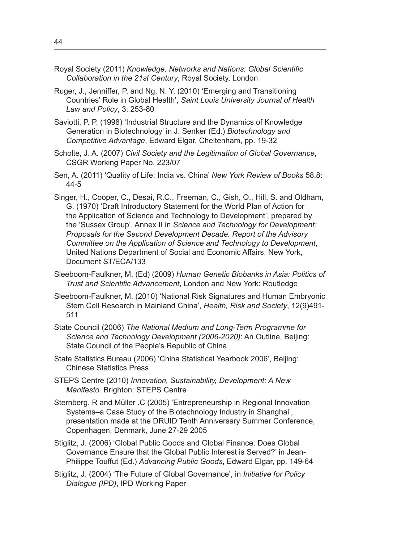- Royal Society (2011) *Knowledge, Networks and Nations: Global Scientific Collaboration in the 21st Century*, Royal Society, London
- Ruger, J., Jenniffer, P. and Ng, N. Y. (2010) 'Emerging and Transitioning Countries' Role in Global Health', *Saint Louis University Journal of Health Law and Policy*, 3: 253-80
- Saviotti, P. P. (1998) 'Industrial Structure and the Dynamics of Knowledge Generation in Biotechnology' in J. Senker (Ed.) *Biotechnology and Competitive Advantage*, Edward Elgar, Cheltenham, pp. 19-32
- Scholte, J. A. (2007) *Civil Society and the Legitimation of Global Governance*, CSGR Working Paper No. 223/07
- Sen, A. (2011) 'Quality of Life: India vs. China' *New York Review of Books* 58.8: 44-5
- Singer, H., Cooper, C., Desai, R.C., Freeman, C., Gish, O., Hill, S. and Oldham, G. (1970) 'Draft Introductory Statement for the World Plan of Action for the Application of Science and Technology to Development', prepared by the 'Sussex Group', Annex II in *Science and Technology for Development: Proposals for the Second Development Decade. Report of the Advisory Committee on the Application of Science and Technology to Development*, United Nations Department of Social and Economic Affairs, New York, Document ST/ECA/133
- Sleeboom-Faulkner, M. (Ed) (2009) *Human Genetic Biobanks in Asia: Politics of Trust and Scientific Advancement*, London and New York: Routledge
- Sleeboom-Faulkner, M. (2010) 'National Risk Signatures and Human Embryonic Stem Cell Research in Mainland China', *Health, Risk and Society*, 12(9)491- 511
- State Council (2006) *The National Medium and Long-Term Programme for Science and Technology Development (2006-2020)*: An Outline, Beijing: State Council of the People's Republic of China
- State Statistics Bureau (2006) 'China Statistical Yearbook 2006', Beijing: Chinese Statistics Press
- STEPS Centre (2010) *Innovation, Sustainability, Development: A New Manifesto*. Brighton: STEPS Centre
- Sternberg. R and Müller .C (2005) 'Entrepreneurship in Regional Innovation Systems–a Case Study of the Biotechnology Industry in Shanghai', presentation made at the DRUID Tenth Anniversary Summer Conference, Copenhagen, Denmark, June 27-29 2005
- Stiglitz, J. (2006) 'Global Public Goods and Global Finance: Does Global Governance Ensure that the Global Public Interest is Served?' in Jean-Philippe Touffut (Ed.) *Advancing Public Goods*, Edward Elgar, pp. 149-64
- Stiglitz, J. (2004) 'The Future of Global Governance', in *Initiative for Policy Dialogue (IPD)*, IPD Working Paper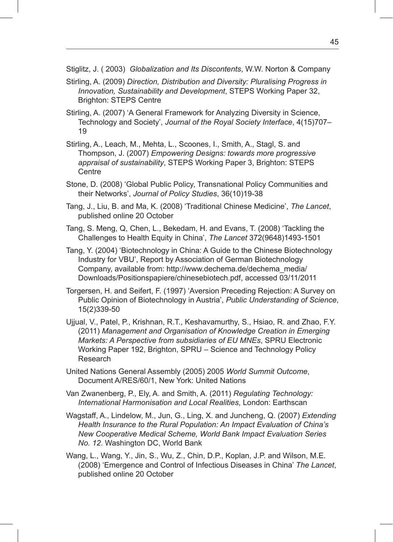Stiglitz, J. ( 2003) *Globalization and Its Discontents*, W.W. Norton & Company

- Stirling, A. (2009) *Direction, Distribution and Diversity: Pluralising Progress in Innovation, Sustainability and Development*, STEPS Working Paper 32, Brighton: STEPS Centre
- Stirling, A. (2007) 'A General Framework for Analyzing Diversity in Science, Technology and Society', *Journal of the Royal Society Interface*, 4(15)707– 19
- Stirling, A., Leach, M., Mehta, L., Scoones, I., Smith, A., Stagl, S. and Thompson, J. (2007) *Empowering Designs: towards more progressive appraisal of sustainability*, STEPS Working Paper 3, Brighton: STEPS **Centre**
- Stone, D. (2008) 'Global Public Policy, Transnational Policy Communities and their Networks', *Journal of Policy Studies*, 36(10)19-38
- Tang, J., Liu, B. and Ma, K. (2008) 'Traditional Chinese Medicine', *The Lancet*, published online 20 October
- Tang, S. Meng, Q, Chen, L., Bekedam, H. and Evans, T. (2008) 'Tackling the Challenges to Health Equity in China', *The Lancet* 372(9648)1493-1501
- Tang, Y. (2004) 'Biotechnology in China: A Guide to the Chinese Biotechnology Industry for VBU', Report by Association of German Biotechnology Company, available from: http://www.dechema.de/dechema\_media/ Downloads/Positionspapiere/chinesebiotech.pdf, accessed 03/11/2011
- Torgersen, H. and Seifert, F. (1997) 'Aversion Preceding Rejection: A Survey on Public Opinion of Biotechnology in Austria', *Public Understanding of Science*, 15(2)339-50
- Ujjual, V., Patel, P., Krishnan, R.T., Keshavamurthy, S., Hsiao, R. and Zhao, F.Y. (2011) *Management and Organisation of Knowledge Creation in Emerging Markets: A Perspective from subsidiaries of EU MNEs*, SPRU Electronic Working Paper 192, Brighton, SPRU – Science and Technology Policy Research
- United Nations General Assembly (2005) 2005 *World Summit Outcome*, Document A/RES/60/1, New York: United Nations
- Van Zwanenberg, P., Ely, A. and Smith, A. (2011) *Regulating Technology: International Harmonisation and Local Realities*, London: Earthscan
- Wagstaff, A., Lindelow, M., Jun, G., Ling, X. and Juncheng, Q. (2007) *Extending Health Insurance to the Rural Population: An Impact Evaluation of China's New Cooperative Medical Scheme, World Bank Impact Evaluation Series No. 12*. Washington DC, World Bank
- Wang, L., Wang, Y., Jin, S., Wu, Z., Chin, D.P., Koplan, J.P. and Wilson, M.E. (2008) 'Emergence and Control of Infectious Diseases in China' *The Lancet*, published online 20 October